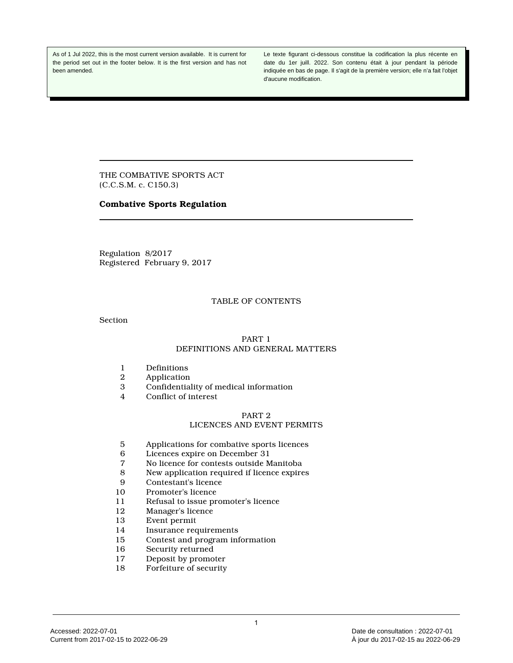As of 1 Jul 2022, this is the most current version available. It is current for the period set out in the footer below. It is the first version and has not been amended.

Le texte figurant ci-dessous constitue la codification la plus récente en date du 1er juill. 2022. Son contenu était à jour pendant la période indiquée en bas de page. Il s'agit de la première version; elle n'a fait l'objet d'aucune modification.

THE COMBATIVE SPORTS ACT (C.C.S.M. c. C150.3)

#### **Combative Sports Regulation**

Regulation 8/2017 Registered February 9, 2017

#### TABLE OF CONTENTS

Section

#### PART 1

#### DEFINITIONS AND GENERAL MATTERS

- 1 Definitions<br>2 Application
- **Application**
- 3 Confidentiality of medical information
- 4 Conflict of interest

#### PART 2 LICENCES AND EVENT PERMITS

- 5 Applications for combative sports licences<br>6 Licences expire on December 31
- 6 Licences expire on December 31<br>7 No licence for contests outside M
- 7 No licence for contests outside Manitoba<br>8 New application required if licence expire
- New application required if licence expires
- 9 Contestant's licence
- 10 Promoter's licence<br>11 Refusal to issue pr
- 11 Refusal to issue promoter's licence<br>12 Manager's licence
- 12 Manager's licence
- Event permit
- 14 Insurance requirements
- 15 Contest and program information<br>16 Security returned
- 16 Security returned<br>17 Deposit by promo
- Deposit by promoter
- 18 Forfeiture of security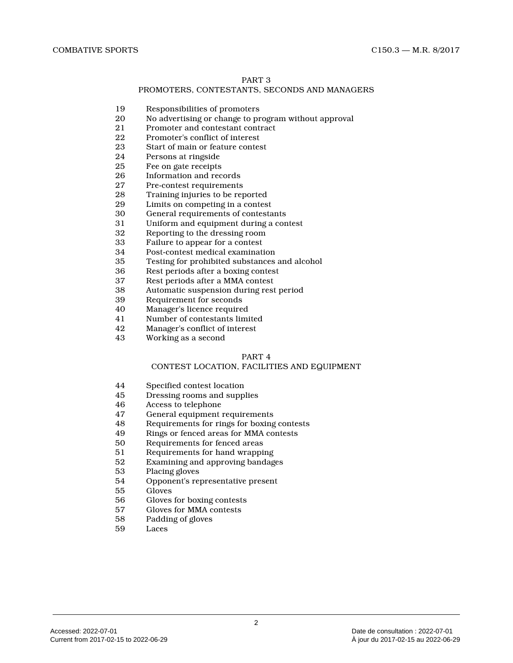#### PART 3

#### PROMOTERS, CONTESTANTS, SECONDS AND MANAGERS

- 19 Responsibilities of promoters<br>20 No advertising or change to pr
- 20 No advertising or change to program without approval<br>21 Promoter and contestant contract
- 21 Promoter and contestant contract<br>22 Promoter's conflict of interest
- 22 Promoter's conflict of interest<br>23 Start of main or feature conter
- Start of main or feature contest
- 24 Persons at ringside<br>25 Fee on gate receipts
- 25 Fee on gate receipts<br>26 Information and rec
- 26 Information and records<br>27 Pre-contest requirements
- Pre-contest requirements
- 28 Training injuries to be reported
- 29 Limits on competing in a contest<br>30 General requirements of contesta
- General requirements of contestants
- 31 Uniform and equipment during a contest<br>32 Reporting to the dressing room
- 32 Reporting to the dressing room
- 33 Failure to appear for a contest
- 34 Post-contest medical examination<br>35 Testing for prohibited substances
- 35 Testing for prohibited substances and alcohol
- 36 Rest periods after a boxing contest<br>37 Rest periods after a MMA contest
- Rest periods after a MMA contest
- 38 Automatic suspension during rest period<br>39 Requirement for seconds
- 39 Requirement for seconds<br>40 Manager's licence require
- 40 Manager's licence required<br>41 Number of contestants limi
- 41 Number of contestants limited<br>42 Manager's conflict of interest
- Manager's conflict of interest
- 43 Working as a second

#### PART 4

#### CONTEST LOCATION, FACILITIES AND EQUIPMENT

- 44 Specified contest location
- 45 Dressing rooms and supplies<br>46 Access to telephone
- 46 Access to telephone<br>47 General equipment
- 47 General equipment requirements<br>48 Requirements for rings for boxing
- 48 Requirements for rings for boxing contests
- 49 Rings or fenced areas for MMA contests
- 50 Requirements for fenced areas<br>51 Requirements for hand wrappi
- Requirements for hand wrapping
- 52 Examining and approving bandages<br>53 Placing gloves
- Placing gloves
- 54 Opponent's representative present
- 55 Gloves
- 56 Gloves for boxing contests<br>57 Gloves for MMA contests
- Gloves for MMA contests
- 58 Padding of gloves
- 59 Laces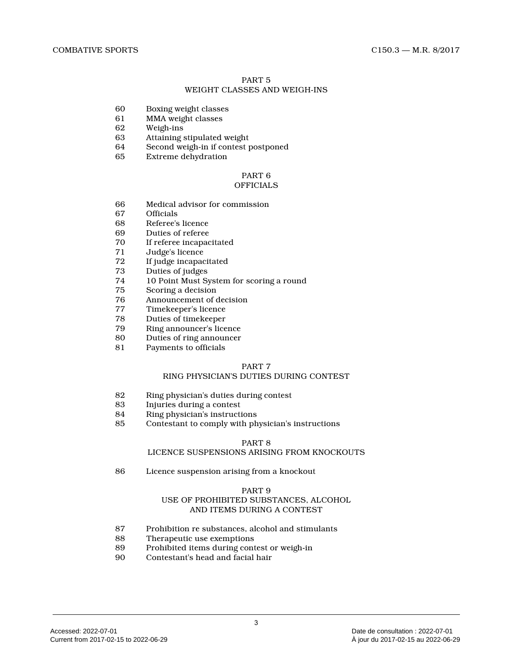#### PART 5 WEIGHT CLASSES AND WEIGH-INS

- 60 Boxing weight classes
- 61 MMA weight classes<br>62 Weigh-ins
- 62 Weigh-ins<br>63 Attainings
- Attaining stipulated weight
- 64 Second weigh-in if contest postponed
- 65 Extreme dehydration

### PART 6

### **OFFICIALS**

- 66 Medical advisor for commission
- Officials
- 68 Referee's licence<br>69 Duties of referee
- Duties of referee
- 70 If referee incapacitated
- 71 Judge's licence<br>72 If judge incapac
- 72 If judge incapacitated<br>73 Duties of judges
- Duties of judges
- 74 10 Point Must System for scoring a round
- 75 Scoring a decision<br>76 Announcement of c
- 76 Announcement of decision<br>77 Timekeeper's licence
- 77 Timekeeper's licence<br>78 Duties of timekeeper
- 78 Duties of timekeeper<br>79 Ring announcer's lice
- Ring announcer's licence
- 80 Duties of ring announcer
- 81 Payments to officials

#### PART 7

#### RING PHYSICIAN'S DUTIES DURING CONTEST

- 82 Ring physician's duties during contest
- 83 Injuries during a contest<br>84 Ring physician's instruction
- 84 Ring physician's instructions<br>85 Contestant to comply with ph
- 85 Contestant to comply with physician's instruction s

#### PART 8

#### LICENCE SUSPENSIONS ARISING FROM KNOCKOUTS

86 Licence suspension arising from a knockout

#### PART 9

#### USE OF PROHIBITED SUBSTANCES, ALCOHOL AND ITEMS DURING A CONTEST

- 87 Prohibition re substances, alcohol and stimulants
- 88 Therapeutic use exemptions<br>89 Prohibited items during cont
- 89 Prohibited items during contest or weigh-in<br>90 Contestant's head and facial hair
- Contestant's head and facial hair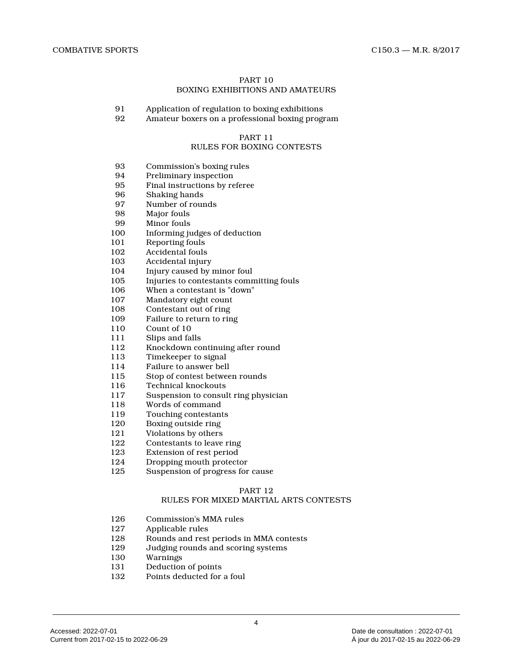# PART 10

### BOXING EXHIBITIONS AND AMATEURS

# 91 Application of regulation to boxing exhibitions<br>92 Amateur boxers on a professional boxing prog

Amateur boxers on a professional boxing program

# PART 11

# RULES FOR BOXING CONTESTS

- 93 Commission's boxing rules<br>94 Preliminary inspection
- 94 Preliminary inspection<br>95 Final instructions by re
- Final instructions by referee
- 96 Shaking hands
- 97 Number of rounds<br>98 Maior fouls
- Major fouls
- 99 Minor fouls<br>100 Informing in
- Informing judges of deduction
- 101 Reporting fouls
- 102 Accidental fouls<br>103 Accidental injury
- 103 Accidental injury<br>104 Injury caused by
- Injury caused by minor foul
- 105 Injuries to contestants committing fouls
- 106 When a contestant is "down"
- 107 Mandatory eight count
- 108 Contestant out of ring<br>109 Failure to return to rin
- 109 Failure to return to ring<br>110 Count of 10
- Count of 10
- 111 Slips and falls
- 112 Knockdown continuing after round<br>113 Timekeeper to signal
- Timekeeper to signal
- 114 Failure to answer bell
- 115 Stop of contest between rounds
- 116 Technical knockouts
- 117 Suspension to consult ring physician<br>118 Words of command
- 118 Words of command<br>119 Touching contestant
- 119 Touching contestants<br>120 Boxing outside ring
- Boxing outside ring
- 121 Violations by others
- 122 Contestants to leave ring<br>123 Extension of rest period
- Extension of rest period
- 124 Dropping mouth protector<br>125 Suspension of progress for
- Suspension of progress for cause

#### PART 12

#### RULES FOR MIXED MARTIAL ARTS CONTESTS

- 126 Commission's MMA rules
- 127 Applicable rules<br>128 Rounds and rest
- 128 Rounds and rest periods in MMA contests<br>129 Judging rounds and scoring systems
- 129 Judging rounds and scoring systems<br>130 Warnings
- 130 Warnings<br>131 Deduction
- Deduction of points
- 132 Points deducted for a foul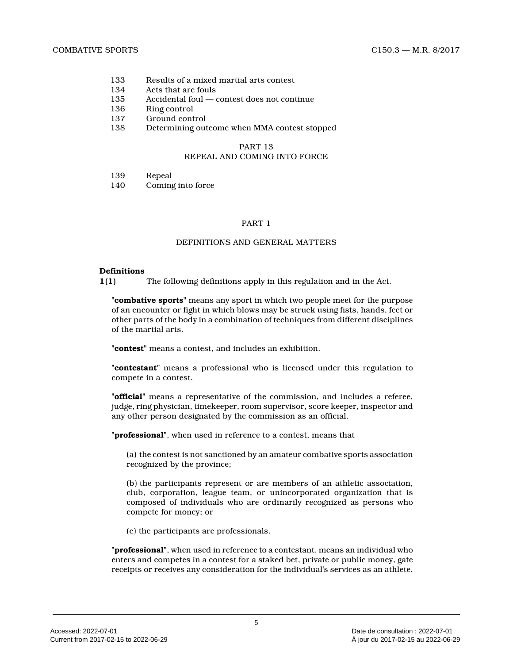- 133 Results of a mixed martial arts contest<br>134 Acts that are fouls
- Acts that are fouls
- 135 Accidental foul contest does not continue
- 136 Ring control
- 137 Ground control
- 138 Determining outcome when MMA contest stopped

#### PART 13

### REPEAL AND COMING INTO FORCE

- 139 Repeal<br>140 Coming
- Coming into force

#### PART 1

#### DEFINITIONS AND GENERAL MATTERS

#### **Definitions**

**1(1)** The following definitions apply in this regulation and in the Act.

**"combative sports"** means any sport in which two people meet for the purpose of an encounter or fight in which blows may be struck using fists, hands, feet or other parts of the body in a combination of techniques from different disciplines of the martial arts.

**"contest"** means a contest, and includes an exhibition.

**"contestant"** means a professional who is licensed under this regulation to compete in a contest.

**"official"** means a representative of the commission, and includes a referee, judge, ring physician, timekeeper, room supervisor, score keeper, inspector and any other person designated by the commission as an official.

**"professional"**, when used in reference to a contest, means that

(a) the contest is not sanctioned by an amateur combative sports association recognized by the province;

(b) the participants represent or are members of an athletic association, club, corporation, league team, or unincorporated organization that is composed of individuals who are ordinarily recognized as persons who compete for money; or

(c) the participants are professionals.

**"professional"**, when used in reference to a contestant, means an individual who enters and competes in a contest for a staked bet, private or public money, gate receipts or receives any consideration for the individual's services as an athlete.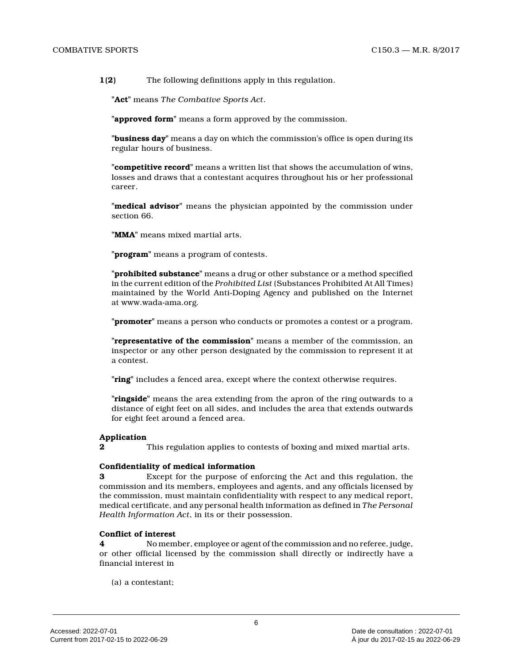**1(2)** The following definitions apply in this regulation.

**"Act"** means *The Combative Sports Act* .

**"approved form"** means a form approved by the commission.

**"business day"** means a day on which the commission's office is open during its regular hours of business.

**"competitive record"** means a written list that shows the accumulation of wins, losses and draws that a contestant acquires throughout his or her professional career.

**"medical advisor"** means the physician appointed by the commission under section 66.

**"MMA"** means mixed martial arts.

**"program"** means a program of contests.

**"prohibited substance"** means a drug or other substance or a method specified in the current edition of the *Prohibited List* (Substances Prohibited At All Times) maintained by the World Anti-Doping Agency and published on the Internet at www.wada-ama.org.

**"promoter"** means a person who conducts or promotes a contest or a program.

**"representative of the commission"** means a member of the commission, an inspector or any other person designated by the commission to represent it at a contest.

**"ring"** includes a fenced area, except where the context otherwise requires.

**"ringside"** means the area extending from the apron of the ring outwards to a distance of eight feet on all sides, and includes the area that extends outwards for eight feet around a fenced area.

#### **Application**

**2** This regulation applies to contests of boxing and mixed martial arts.

#### **Confidentiality of medical information**

**3** Except for the purpose of enforcing the Act and this regulation, the commission and its members, employees and agents, and any officials licensed by the commission, must maintain confidentiality with respect to any medical report, medical certificate, and any personal health information as defined in *The Personal Health Information Act*, in its or their possession.

#### **Conflict of interest**

**4** No member, employee or agent of the commission and no referee, judge, or other official licensed by the commission shall directly or indirectly have a financial interest in

(a) a contestant;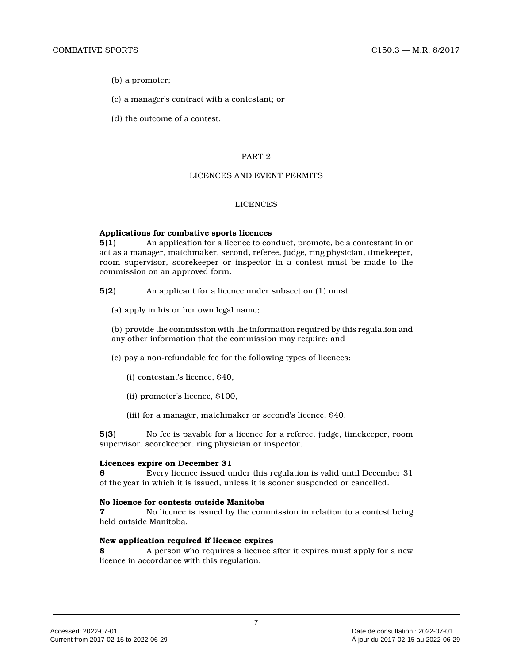- (b) a promoter;
- (c) a manager's contract with a contestant; or
- (d) the outcome of a contest.

#### PART 2

#### LICENCES AND EVENT PERMITS

#### LICENCES

#### **Applications for combative sports licences**

**5(1)** An application for a licence to conduct, promote, be a contestant in or act as a manager, matchmaker, second, referee, judge, ring physician, timekeeper, room supervisor, scorekeeper or inspector in a contest must be made to the commission on an approved form.

**5(2)** An applicant for a licence under subsection (1) mus t

(a) apply in his or her own legal name;

(b) provide the commission with the information required by this regulation and any other information that the commission may require; and

(c) pay a non-refundable fee for the following types of licences:

- (i) contestant's licence, \$40,
- (ii) promoter's licence, \$100,
- (iii) for a manager, matchmaker or second's licence, \$40.

**5(3)** No fee is payable for a licence for a referee, judge, timekeeper, room supervisor, scorekeeper, ring physician or inspector.

#### **Licences expire on December 31**

**6** Every licence issued under this regulation is valid until December 31 of the year in which it is issued, unless it is sooner suspended or cancelled.

#### **No licence for contests outside Manitoba**

**7** No licence is issued by the commission in relation to a contest being held outside Manitoba.

#### **New application required if licence expires**

**8** A person who requires a licence after it expires must apply for a new licence in accordance with this regulation.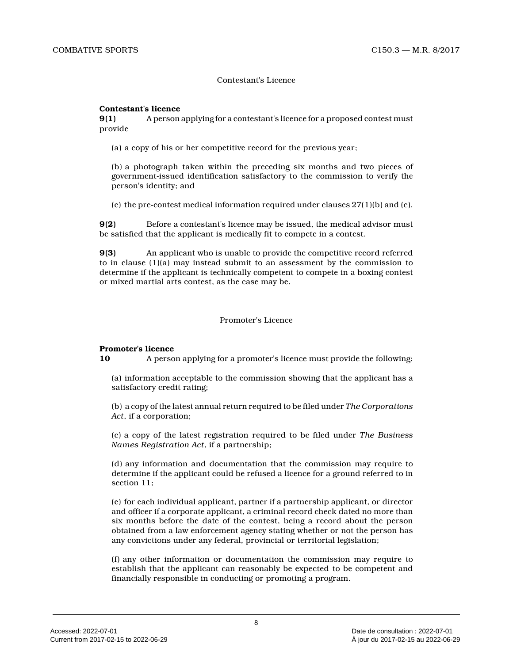#### Contestant's Licence

#### **Contestant's licence**

**9(1)** A person applying for a contestant's licence for a proposed contest must provide

(a) a copy of his or her competitive record for the previous year;

(b) a photograph taken within the preceding six months and two pieces of government-issued identification satisfactory to the commission to verify the person's identity; and

(c) the pre-contest medical information required under clauses  $27(1)(b)$  and (c).

**9(2)** Before a contestant's licence may be issued, the medical advisor must be satisfied that the applicant is medically fit to compete in a contest.

**9(3)** An applicant who is unable to provide the competitive record referred to in clause (1)(a) may instead submit to an assessment by the commission to determine if the applicant is technically competent to compete in a boxing contest or mixed martial arts contest, as the case may be.

#### Promoter's Licence

#### **Promoter's licence**

**10** A person applying for a promoter's licence must provide the following:

(a) information acceptable to the commission showing that the applicant has a satisfactory credit rating;

(b) a copy of the latest annual return required to be filed under *The Corporations Act*, if a corporation;

(c) a copy of the latest registration required to be filed under *The Business Names Registration Act*, if a partnership;

(d) any information and documentation that the commission may require to determine if the applicant could be refused a licence for a ground referred to in section 11;

(e) for each individual applicant, partner if a partnership applicant, or director and officer if a corporate applicant, a criminal record check dated no more than six months before the date of the contest, being a record about the person obtained from a law enforcement agency stating whether or not the person has any convictions under any federal, provincial or territorial legislation;

(f) any other information or documentation the commission may require to establish that the applicant can reasonably be expected to be competent and financially responsible in conducting or promoting a program.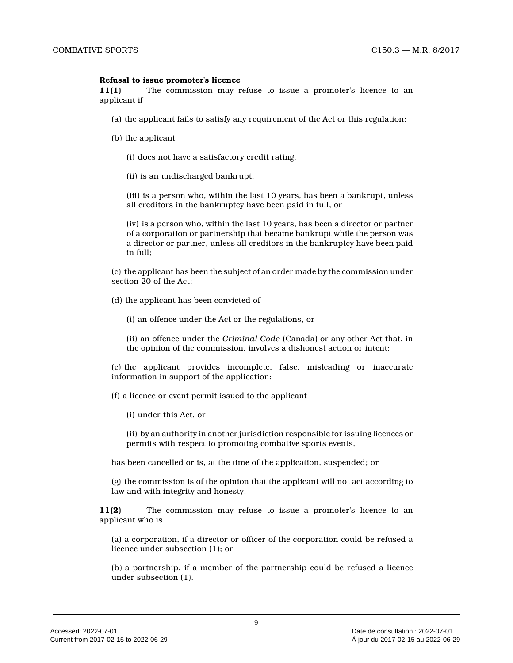#### **Refusal to issue promoter's licence**

**11(1)** The commission may refuse to issue a promoter's licence to an applicant if

- (a) the applicant fails to satisfy any requirement of the Act or this regulation;
- (b) the applicant
	- (i) does not have a satisfactory credit rating,
	- (ii) is an undischarged bankrupt,

(iii) is a person who, within the last 10 years, has been a bankrupt, unless all creditors in the bankruptcy have been paid in full, or

(iv) is a person who, within the last 10 years, has been a director or partner of a corporation or partnership that became bankrupt while the person was a director or partner, unless all creditors in the bankruptcy have been paid in full;

(c) the applicant has been the subject of an order made by the commission under section 20 of the Act;

(d) the applicant has been convicted of

(i) an offence under the Act or the regulations, or

(ii) an offence under the *Criminal Code* (Canada) or any other Act that, in the opinion of the commission, involves a dishonest action or intent;

(e) the applicant provides incomplete, false, misleading or inaccurate information in support of the application;

(f) a licence or event permit issued to the applican t

(i) under this Act, or

(ii) by an authority in another jurisdiction responsible for issuing licences or permits with respect to promoting combative sports events,

has been cancelled or is, at the time of the application, suspended; or

(g) the commission is of the opinion that the applicant will not act according to law and with integrity and honesty.

**11(2)** The commission may refuse to issue a promoter's licence to an applicant who is

(a) a corporation, if a director or officer of the corporation could be refused a licence under subsection (1); or

(b) a partnership, if a member of the partnership could be refused a licence under subsection (1).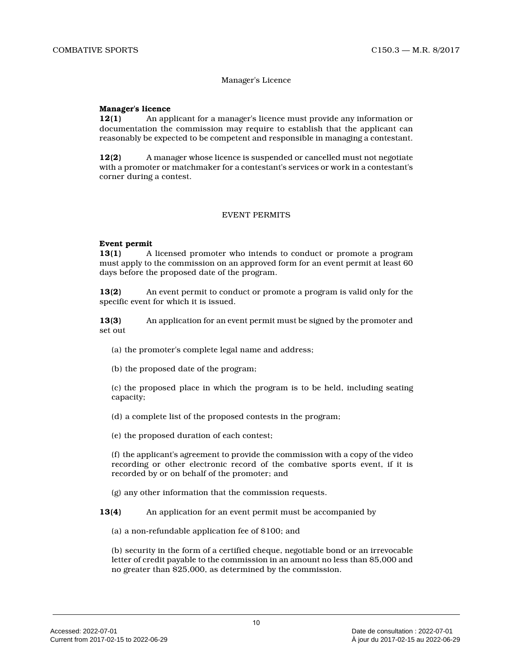#### Manager's Licence

#### **Manager's licence**

**12(1)** An applicant for a manager's licence must provide any information or documentation the commission may require to establish that the applicant can reasonably be expected to be competent and responsible in managing a contestant.

**12(2)** A manager whose licence is suspended or cancelled must not negotiate with a promoter or matchmaker for a contestant's services or work in a contestant's corner during a contest.

#### EVENT PERMITS

#### **Event permit**

**13(1)** A licensed promoter who intends to conduct or promote a program must apply to the commission on an approved form for an event permit at least 60 days before the proposed date of the program.

**13(2)** An event permit to conduct or promote a program is valid only for the specific event for which it is issued.

**13(3)** An application for an event permit must be signed by the promoter and set out

(a) the promoter's complete legal name and address;

(b) the proposed date of the program;

(c) the proposed place in which the program is to be held, including seating capacity;

(d) a complete list of the proposed contests in the program;

(e) the proposed duration of each contest;

(f) the applicant's agreement to provide the commission with a copy of the video recording or other electronic record of the combative sports event, if it is recorded by or on behalf of the promoter; and

(g) any other information that the commission requests.

**13(4)** An application for an event permit must be accompanied by

(a) a non-refundable application fee of \$100; and

(b) security in the form of a certified cheque, negotiable bond or an irrevocable letter of credit payable to the commission in an amount no less than \$5,000 and no greater than \$25,000, as determined by the commission.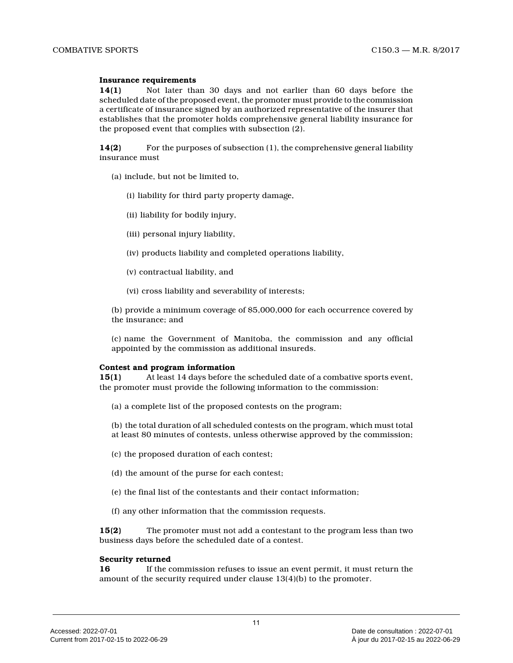#### **Insurance requirements**

**14(1)** Not later than 30 days and not earlier than 60 days before the scheduled date of the proposed event, the promoter must provide to the commission a certificate of insurance signed by an authorized representative of the insurer that establishes that the promoter holds comprehensive general liability insurance for the proposed event that complies with subsection (2).

**14(2)** For the purposes of subsection (1), the comprehensive general liability insurance must

(a) include, but not be limited to,

(i) liability for third party property damage,

- (ii) liability for bodily injury,
- (iii) personal injury liability,
- (iv) products liability and completed operations liability,
- (v) contractual liability, and
- (vi) cross liability and severability of interests;

(b) provide a minimum coverage of \$5,000,000 for each occurrence covered by the insurance; and

(c) name the Government of Manitoba, the commission and any official appointed by the commission as additional insureds.

#### **Contest and program information**

**15(1)** At least 14 days before the scheduled date of a combative sports event, the promoter must provide the following information to the commission:

(a) a complete list of the proposed contests on the program;

(b) the total duration of all scheduled contests on the program, which must total at least 80 minutes of contests, unless otherwise approved by the commission;

- (c) the proposed duration of each contest;
- (d) the amount of the purse for each contest;
- (e) the final list of the contestants and their contact information;
- (f) any other information that the commission requests.

**15(2)** The promoter must not add a contestant to the program less than two business days before the scheduled date of a contest.

#### **Security returned**

**16** If the commission refuses to issue an event permit, it must return the amount of the security required under clause 13(4)(b) to the promoter.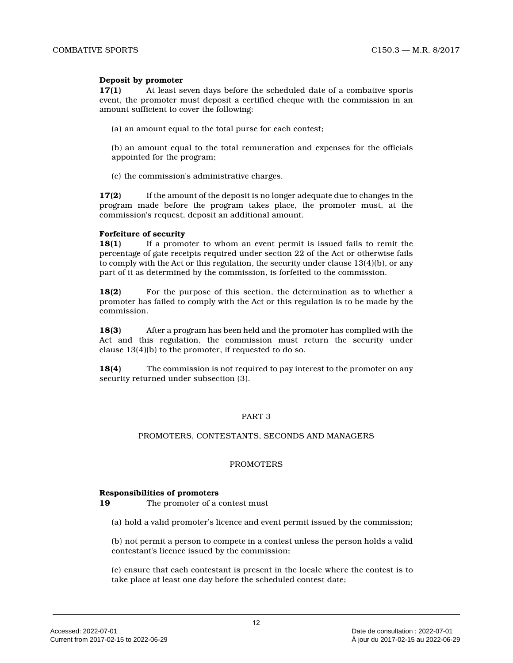#### **Deposit by promoter**

**17(1)** At least seven days before the scheduled date of a combative sports event, the promoter must deposit a certified cheque with the commission in an amount sufficient to cover the following:

(a) an amount equal to the total purse for each contest;

(b) an amount equal to the total remuneration and expenses for the officials appointed for the program;

(c) the commission's administrative charges.

**17(2)** If the amount of the deposit is no longer adequate due to changes in the program made before the program takes place, the promoter must, at the commission's request, deposit an additional amount.

#### **Forfeiture of security**

**18(1)** If a promoter to whom an event permit is issued fails to remit the percentage of gate receipts required under section 22 of the Act or otherwise fails to comply with the Act or this regulation, the security under clause 13(4)(b), or any part of it as determined by the commission, is forfeited to the commission.

**18(2)** For the purpose of this section, the determination as to whether a promoter has failed to comply with the Act or this regulation is to be made by the commission.

**18(3)** After a program has been held and the promoter has complied with the Act and this regulation, the commission must return the security under clause 13(4)(b) to the promoter, if requested to do so.

**18(4)** The commission is not required to pay interest to the promoter on any security returned under subsection (3).

#### PART 3

#### PROMOTERS, CONTESTANTS, SECONDS AND MANAGERS

#### PROMOTERS

#### **Responsibilities of promoters**

**19** The promoter of a contest must

(a) hold a valid promoter's licence and event permit issued by the commission;

(b) not permit a person to compete in a contest unless the person holds a valid contestant's licence issued by the commission;

(c) ensure that each contestant is present in the locale where the contest is to take place at least one day before the scheduled contest date;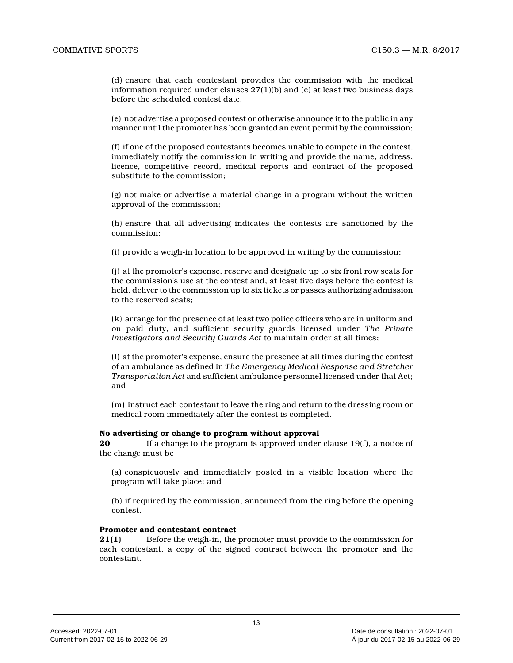(d) ensure that each contestant provides the commission with the medical information required under clauses  $27(1)(b)$  and (c) at least two business days before the scheduled contest date;

(e) not advertise a proposed contest or otherwise announce it to the public in any manner until the promoter has been granted an event permit by the commission;

(f) if one of the proposed contestants becomes unable to compete in the contest, immediately notify the commission in writing and provide the name, address, licence, competitive record, medical reports and contract of the proposed substitute to the commission;

(g) not make or advertise a material change in a program without the written approval of the commission;

(h) ensure that all advertising indicates the contests are sanctioned by the commission;

(i) provide a weigh-in location to be approved in writing by the commission;

(j) at the promoter's expense, reserve and designate up to six front row seats for the commission's use at the contest and, at least five days before the contest is held, deliver to the commission up to six tickets or passes authorizing admission to the reserved seats;

(k) arrange for the presence of at least two police officers who are in uniform and on paid duty, and sufficient security guards licensed under *The Private Investigators and Security Guards Act* to maintain order at all times;

(l) at the promoter's expense, ensure the presence at all times during the contest of an ambulance as defined in *The Emergency Medical Response and Stretcher Transportation Act* and sufficient ambulance personnel licensed under that Act; and

(m) instruct each contestant to leave the ring and return to the dressing room or medical room immediately after the contest is completed.

#### **No advertising or change to program without approva l**

**20** If a change to the program is approved under clause 19(f), a notice of the change must be

(a) conspicuously and immediately posted in a visible location where the program will take place; and

(b) if required by the commission, announced from the ring before the opening contest.

#### **Promoter and contestant contract**

**21(1)** Before the weigh-in, the promoter must provide to the commission for each contestant, a copy of the signed contract between the promoter and the contestant.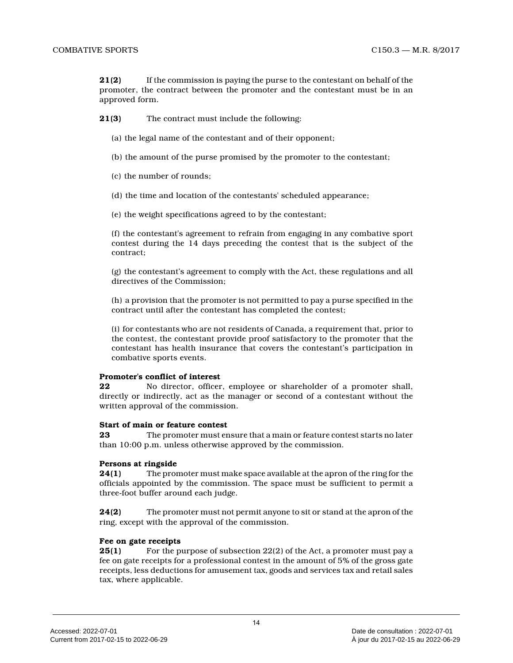**21(2)** If the commission is paying the purse to the contestant on behalf of the promoter, the contract between the promoter and the contestant must be in an approved form.

**21(3)** The contract must include the following:

- (a) the legal name of the contestant and of their opponent;
- (b) the amount of the purse promised by the promoter to the contestant;
- (c) the number of rounds;
- (d) the time and location of the contestants' scheduled appearance;
- (e) the weight specifications agreed to by the contestant;

(f) the contestant's agreement to refrain from engaging in any combative sport contest during the 14 days preceding the contest that is the subject of the contract;

(g) the contestant's agreement to comply with the Act, these regulations and all directives of the Commission;

(h) a provision that the promoter is not permitted to pay a purse specified in the contract until after the contestant has completed the contest;

(i) for contestants who are not residents of Canada, a requirement that, prior to the contest, the contestant provide proof satisfactory to the promoter that the contestant has health insurance that covers the contestant's participation in combative sports events.

#### **Promoter's conflict of interest**

**22** No director, officer, employee or shareholder of a promoter shall, directly or indirectly, act as the manager or second of a contestant without the written approval of the commission.

#### **Start of main or feature contest**

**23** The promoter must ensure that a main or feature contest starts no later than 10:00 p.m. unless otherwise approved by the commission.

#### **Persons at ringside**

**24(1)** The promoter must make space available at the apron of the ring for the officials appointed by the commission. The space must be sufficient to permit a three-foot buffer around each judge.

**24(2)** The promoter must not permit anyone to sit or stand at the apron of the ring, except with the approval of the commission.

#### **Fee on gate receipts**

**25(1)** For the purpose of subsection 22(2) of the Act, a promoter must pay a fee on gate receipts for a professional contest in the amount of 5% of the gross gate receipts, less deductions for amusement tax, goods and services tax and retail sales tax, where applicable.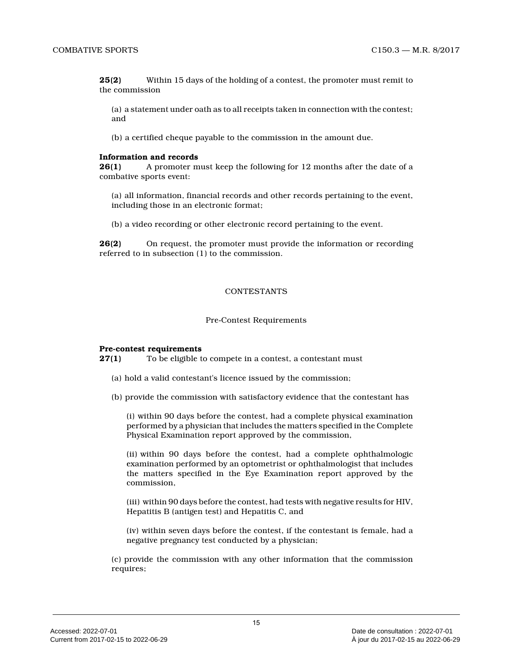**25(2)** Within 15 days of the holding of a contest, the promoter must remit to the commission

(a) a statement under oath as to all receipts taken in connection with the contest; and

(b) a certified cheque payable to the commission in the amount due.

#### **Information and records**

**26(1)** A promoter must keep the following for 12 months after the date of a combative sports event:

(a) all information, financial records and other records pertaining to the event, including those in an electronic format;

(b) a video recording or other electronic record pertaining to the event.

**26(2)** On request, the promoter must provide the information or recording referred to in subsection (1) to the commission.

#### **CONTESTANTS**

#### Pre-Contest Requirements

#### **Pre-contest requirements**

**27(1)** To be eligible to compete in a contest, a contestant must

- (a) hold a valid contestant's licence issued by the commission;
- (b) provide the commission with satisfactory evidence that the contestant has

(i) within 90 days before the contest, had a complete physical examination performed by a physician that includes the matters specified in the Complete Physical Examination report approved by the commission,

(ii) within 90 days before the contest, had a complete ophthalmologic examination performed by an optometrist or ophthalmologist that includes the matters specified in the Eye Examination report approved by the commission,

(iii) within 90 days before the contest, had tests with negative results for HIV, Hepatitis B (antigen test) and Hepatitis C, and

(iv) within seven days before the contest, if the contestant is female, had a negative pregnancy test conducted by a physician;

(c) provide the commission with any other information that the commission requires;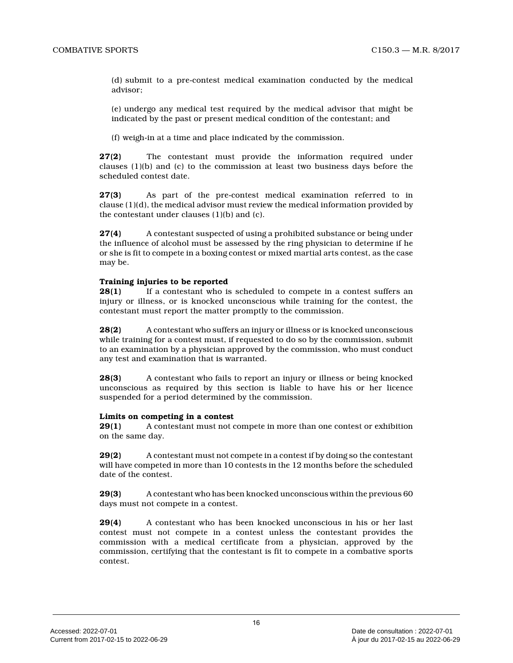(d) submit to a pre-contest medical examination conducted by the medical advisor;

(e) undergo any medical test required by the medical advisor that might be indicated by the past or present medical condition of the contestant; and

(f) weigh-in at a time and place indicated by the commission.

**27(2)** The contestant must provide the information required under clauses (1)(b) and (c) to the commission at least two business days before the scheduled contest date.

**27(3)** As part of the pre-contest medical examination referred to in clause (1)(d), the medical advisor must review the medical information provided by the contestant under clauses (1)(b) and (c).

**27(4)** A contestant suspected of using a prohibited substance or being under the influence of alcohol must be assessed by the ring physician to determine if he or she is fit to compete in a boxing contest or mixed martial arts contest, as the case may be.

#### **Training injuries to be reported**

**28(1)** If a contestant who is scheduled to compete in a contest suffers an injury or illness, or is knocked unconscious while training for the contest, the contestant must report the matter promptly to the commission.

**28(2)** A contestant who suffers an injury or illness or is knocked unconscious while training for a contest must, if requested to do so by the commission, submit to an examination by a physician approved by the commission, who must conduct any test and examination that is warranted.

**28(3)** A contestant who fails to report an injury or illness or being knocked unconscious as required by this section is liable to have his or her licence suspended for a period determined by the commission .

#### **Limits on competing in a contest**

**29(1)** A contestant must not compete in more than one contest or exhibition on the same day.

**29(2)** A contestant must not compete in a contest if by doing so the contestant will have competed in more than 10 contests in the 12 months before the scheduled date of the contest.

**29(3)** A contestant who has been knocked unconscious within the previous 60 days must not compete in a contest.

**29(4)** A contestant who has been knocked unconscious in his or her last contest must not compete in a contest unless the contestant provides the commission with a medical certificate from a physician, approved by the commission, certifying that the contestant is fit to compete in a combative sports contest.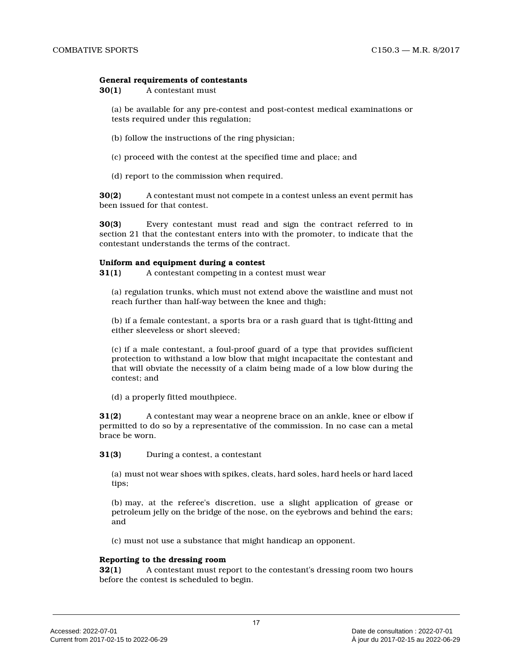#### **General requirements of contestants**

**30(1)** A contestant must

(a) be available for any pre-contest and post-contest medical examinations or tests required under this regulation;

- (b) follow the instructions of the ring physician;
- (c) proceed with the contest at the specified time and place; and
- (d) report to the commission when required.

**30(2)** A contestant must not compete in a contest unless an event permit has been issued for that contest.

**30(3)** Every contestant must read and sign the contract referred to in section 21 that the contestant enters into with the promoter, to indicate that the contestant understands the terms of the contract.

#### **Uniform and equipment during a contest**

**31(1)** A contestant competing in a contest must wear

(a) regulation trunks, which must not extend above the waistline and must not reach further than half-way between the knee and thigh;

(b) if a female contestant, a sports bra or a rash guard that is tight-fitting and either sleeveless or short sleeved;

(c) if a male contestant, a foul-proof guard of a type that provides sufficient protection to withstand a low blow that might incapacitate the contestant and that will obviate the necessity of a claim being made of a low blow during the contest; and

(d) a properly fitted mouthpiece.

**31(2)** A contestant may wear a neoprene brace on an ankle, knee or elbow if permitted to do so by a representative of the commission. In no case can a metal brace be worn.

**31(3)** During a contest, a contestant

(a) must not wear shoes with spikes, cleats, hard soles, hard heels or hard laced tips;

(b) may, at the referee's discretion, use a slight application of grease or petroleum jelly on the bridge of the nose, on the eyebrows and behind the ears; and

(c) must not use a substance that might handicap an opponent.

#### **Reporting to the dressing room**

**32(1)** A contestant must report to the contestant's dressing room two hours before the contest is scheduled to begin.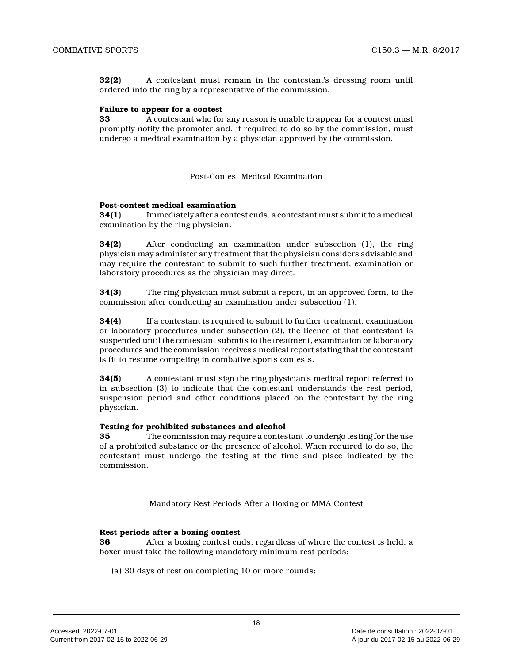**32(2)** A contestant must remain in the contestant's dressing room until ordered into the ring by a representative of the commission.

#### **Failure to appear for a contest**

**33** A contestant who for any reason is unable to appear for a contest must promptly notify the promoter and, if required to do so by the commission, must undergo a medical examination by a physician approved by the commission.

#### Post-Contest Medical Examination

#### **Post-contest medical examination**

**34(1)** Immediately after a contest ends, a contestant must submit to a medical examination by the ring physician.

**34(2)** After conducting an examination under subsection (1), the ring physician may administer any treatment that the physician considers advisable and may require the contestant to submit to such further treatment, examination or laboratory procedures as the physician may direct.

**34(3)** The ring physician must submit a report, in an approved form, to the commission after conducting an examination under subsection (1).

**34(4)** If a contestant is required to submit to further treatment, examination or laboratory procedures under subsection (2), the licence of that contestant is suspended until the contestant submits to the treatment, examination or laboratory procedures and the commission receives a medical report stating that the contestant is fit to resume competing in combative sports contests.

**34(5)** A contestant must sign the ring physician's medical report referred to in subsection (3) to indicate that the contestant understands the rest period, suspension period and other conditions placed on the contestant by the ring physician.

#### **Testing for prohibited substances and alcohol**

**35** The commission may require a contestant to undergo testing for the use of a prohibited substance or the presence of alcohol. When required to do so, the contestant must undergo the testing at the time and place indicated by the commission.

Mandatory Rest Periods After a Boxing or MMA Contes t

#### **Rest periods after a boxing contest**

**36** After a boxing contest ends, regardless of where the contest is held, a boxer must take the following mandatory minimum rest periods:

(a) 30 days of rest on completing 10 or more rounds;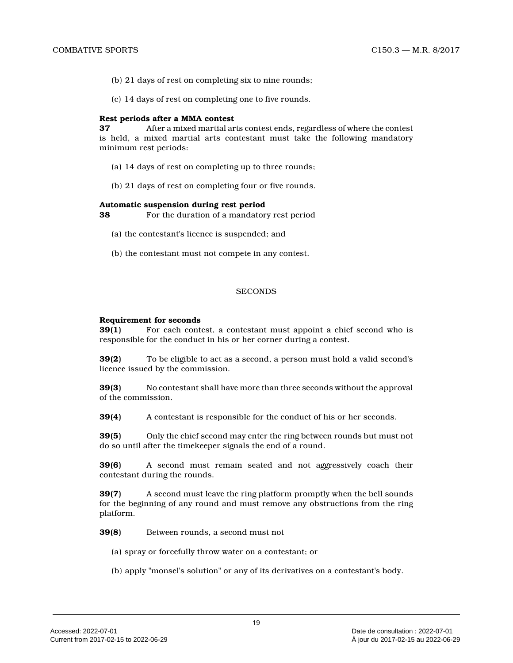- (b) 21 days of rest on completing six to nine rounds ;
- (c) 14 days of rest on completing one to five rounds .

#### **Rest periods after a MMA contest**

**37** After a mixed martial arts contest ends, regardless of where the contest is held, a mixed martial arts contestant must take the following mandatory minimum rest periods:

- (a) 14 days of rest on completing up to three rounds;
- (b) 21 days of rest on completing four or five rounds.

#### **Automatic suspension during rest period**

**38** For the duration of a mandatory rest period

- (a) the contestant's licence is suspended; and
- (b) the contestant must not compete in any contest.

#### **SECONDS**

#### **Requirement for seconds**

**39(1)** For each contest, a contestant must appoint a chief second who is responsible for the conduct in his or her corner during a contest.

**39(2)** To be eligible to act as a second, a person must hold a valid second's licence issued by the commission.

**39(3)** No contestant shall have more than three seconds without the approval of the commission.

**39(4)** A contestant is responsible for the conduct of his or her seconds.

**39(5)** Only the chief second may enter the ring between rounds but must not do so until after the timekeeper signals the end of a round.

**39(6)** A second must remain seated and not aggressively coach their contestant during the rounds.

**39(7)** A second must leave the ring platform promptly when the bell sounds for the beginning of any round and must remove any obstructions from the ring platform.

**39(8)** Between rounds, a second must not

(a) spray or forcefully throw water on a contestant; or

(b) apply "monsel's solution" or any of its derivatives on a contestant's body.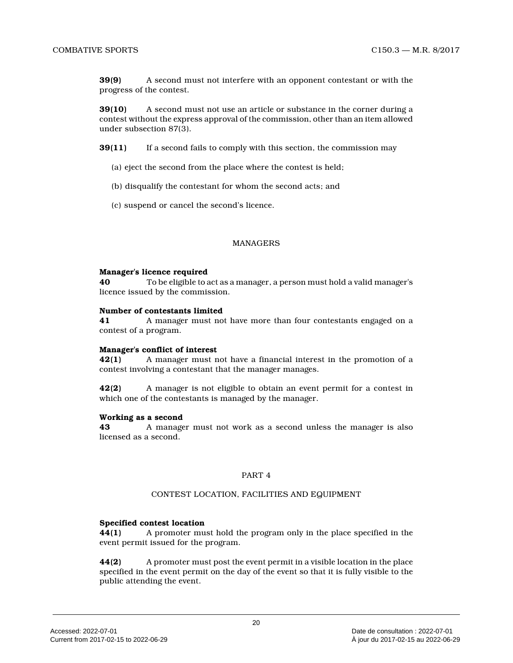**39(9)** A second must not interfere with an opponent contestant or with the progress of the contest.

**39(10)** A second must not use an article or substance in the corner during a contest without the express approval of the commission, other than an item allowed under subsection 87(3).

**39(11)** If a second fails to comply with this section, the commission may

- (a) eject the second from the place where the contest is held;
- (b) disqualify the contestant for whom the second acts; and
- (c) suspend or cancel the second's licence.

#### MANAGERS

#### **Manager's licence required**

**40** To be eligible to act as a manager, a person must hold a valid manager's licence issued by the commission.

#### **Number of contestants limited**

**41** A manager must not have more than four contestants engaged on a contest of a program.

#### **Manager's conflict of interest**

**42(1)** A manager must not have a financial interest in the promotion of a contest involving a contestant that the manager manages.

**42(2)** A manager is not eligible to obtain an event permit for a contest in which one of the contestants is managed by the manager.

#### **Working as a second**

**43** A manager must not work as a second unless the manager is also licensed as a second.

#### PART 4

#### CONTEST LOCATION, FACILITIES AND EQUIPMENT

#### **Specified contest location**

**44(1)** A promoter must hold the program only in the place specified in the event permit issued for the program.

**44(2)** A promoter must post the event permit in a visible location in the place specified in the event permit on the day of the event so that it is fully visible to the public attending the event.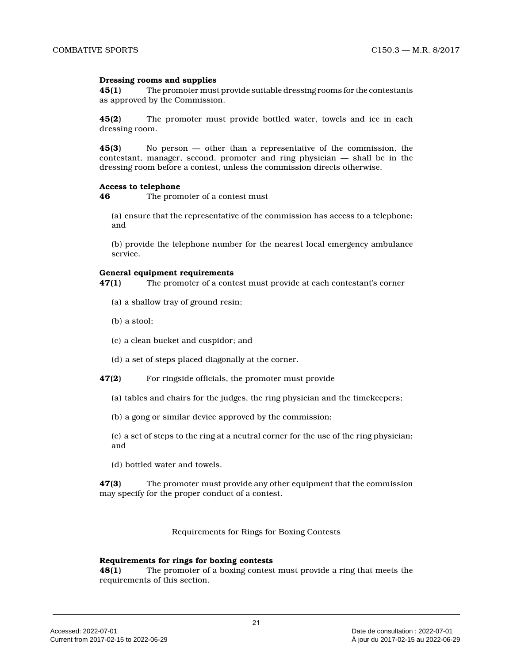#### **Dressing rooms and supplies**

**45(1)** The promoter must provide suitable dressing rooms for the contestants as approved by the Commission.

**45(2)** The promoter must provide bottled water, towels and ice in each dressing room.

**45(3)** No person — other than a representative of the commission, the contestant, manager, second, promoter and ring physician — shall be in the dressing room before a contest, unless the commission directs otherwise.

#### **Access to telephone**

**46** The promoter of a contest must

(a) ensure that the representative of the commission has access to a telephone; and

(b) provide the telephone number for the nearest local emergency ambulance service.

#### **General equipment requirements**

**47(1)** The promoter of a contest must provide at each contestant's corner

- (a) a shallow tray of ground resin;
- (b) a stool;
- (c) a clean bucket and cuspidor; and
- (d) a set of steps placed diagonally at the corner.
- **47(2)** For ringside officials, the promoter must provide
	- (a) tables and chairs for the judges, the ring physician and the timekeepers;
	- (b) a gong or similar device approved by the commission;
	- (c) a set of steps to the ring at a neutral corner for the use of the ring physician; and
	- (d) bottled water and towels.

**47(3)** The promoter must provide any other equipment that the commission may specify for the proper conduct of a contest.

Requirements for Rings for Boxing Contests

#### **Requirements for rings for boxing contests**

**48(1)** The promoter of a boxing contest must provide a ring that meets the requirements of this section.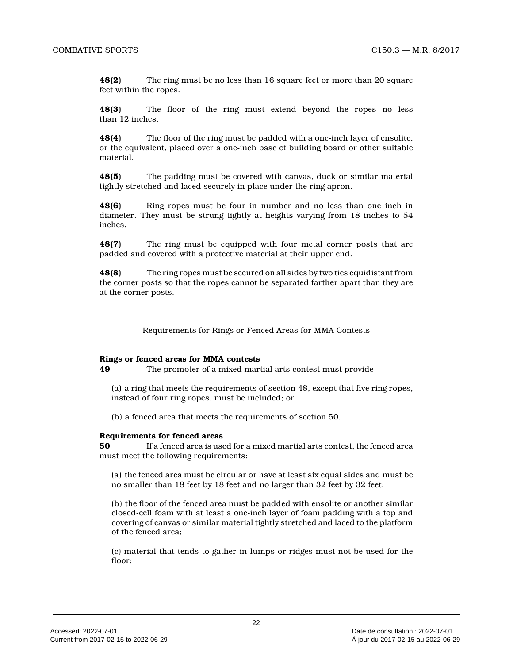**48(2)** The ring must be no less than 16 square feet or more than 20 square feet within the ropes.

**48(3)** The floor of the ring must extend beyond the ropes no less than 12 inches.

**48(4)** The floor of the ring must be padded with a one-inch layer of ensolite, or the equivalent, placed over a one-inch base of building board or other suitable material.

**48(5)** The padding must be covered with canvas, duck or similar material tightly stretched and laced securely in place under the ring apron.

**48(6)** Ring ropes must be four in number and no less than one inch in diameter. They must be strung tightly at heights varying from 18 inches to 54 inches.

**48(7)** The ring must be equipped with four metal corner posts that are padded and covered with a protective material at their upper end.

**48(8)** The ring ropes must be secured on all sides by two ties equidistant from the corner posts so that the ropes cannot be separated farther apart than they are at the corner posts.

Requirements for Rings or Fenced Areas for MMA Contests

#### **Rings or fenced areas for MMA contests**

**49** The promoter of a mixed martial arts contest must provide

(a) a ring that meets the requirements of section 48, except that five ring ropes, instead of four ring ropes, must be included; or

(b) a fenced area that meets the requirements of section 50.

#### **Requirements for fenced areas**

**50** If a fenced area is used for a mixed martial arts contest, the fenced area must meet the following requirements:

(a) the fenced area must be circular or have at least six equal sides and must be no smaller than 18 feet by 18 feet and no larger than 32 feet by 32 feet;

(b) the floor of the fenced area must be padded with ensolite or another similar closed-cell foam with at least a one-inch layer of foam padding with a top and covering of canvas or similar material tightly stretched and laced to the platform of the fenced area;

(c) material that tends to gather in lumps or ridges must not be used for the floor: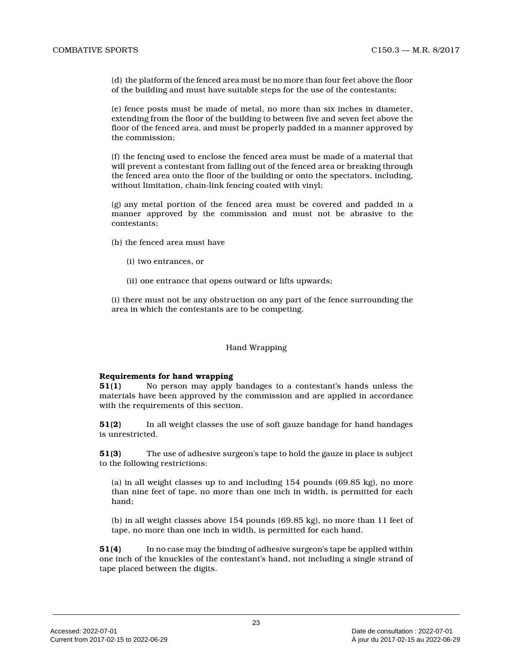(d) the platform of the fenced area must be no more than four feet above the floor of the building and must have suitable steps for the use of the contestants;

(e) fence posts must be made of metal, no more than six inches in diameter, extending from the floor of the building to between five and seven feet above the floor of the fenced area, and must be properly padded in a manner approved by the commission;

(f) the fencing used to enclose the fenced area must be made of a material that will prevent a contestant from falling out of the fenced area or breaking through the fenced area onto the floor of the building or onto the spectators, including, without limitation, chain-link fencing coated with vinyl;

(g) any metal portion of the fenced area must be covered and padded in a manner approved by the commission and must not be abrasive to the contestants;

- (h) the fenced area must have
	- (i) two entrances, or
	- (ii) one entrance that opens outward or lifts upwards;

(i) there must not be any obstruction on any part of the fence surrounding the area in which the contestants are to be competing.

#### Hand Wrapping

#### **Requirements for hand wrapping**

**51(1)** No person may apply bandages to a contestant's hands unless the materials have been approved by the commission and are applied in accordance with the requirements of this section.

**51(2)** In all weight classes the use of soft gauze bandage for hand bandages is unrestricted.

**51(3)** The use of adhesive surgeon's tape to hold the gauze in place is subject to the following restrictions:

(a) in all weight classes up to and including 154 pounds (69.85 kg), no more than nine feet of tape, no more than one inch in width, is permitted for each hand;

(b) in all weight classes above 154 pounds (69.85 kg), no more than 11 feet of tape, no more than one inch in width, is permitted for each hand.

**51(4)** In no case may the binding of adhesive surgeon's tape be applied within one inch of the knuckles of the contestant's hand, not including a single strand of tape placed between the digits.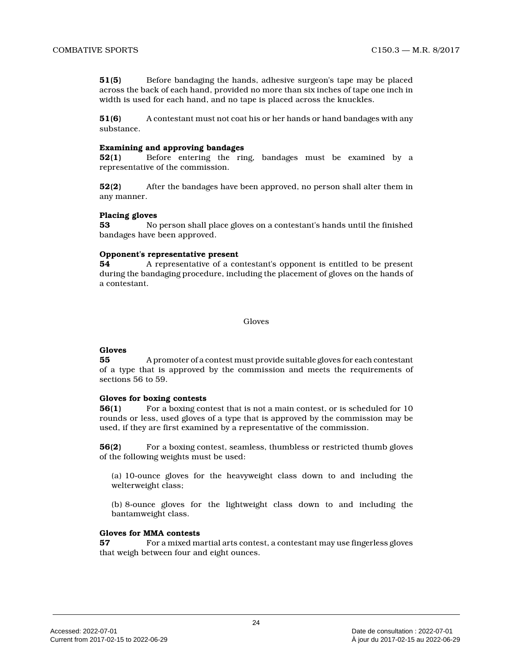**51(5)** Before bandaging the hands, adhesive surgeon's tape may be placed across the back of each hand, provided no more than six inches of tape one inch in width is used for each hand, and no tape is placed across the knuckles.

**51(6)** A contestant must not coat his or her hands or hand bandages with any substance.

#### **Examining and approving bandages**

**52(1)** Before entering the ring, bandages must be examined by a representative of the commission.

**52(2)** After the bandages have been approved, no person shall alter them in any manner.

#### **Placing gloves**

**53** No person shall place gloves on a contestant's hands until the finished bandages have been approved.

#### **Opponent's representative present**

**54** A representative of a contestant's opponent is entitled to be present during the bandaging procedure, including the placement of gloves on the hands of a contestant.

Gloves

#### **Gloves**

**55** A promoter of a contest must provide suitable gloves for each contestant of a type that is approved by the commission and meets the requirements of sections 56 to 59.

#### **Gloves for boxing contests**

**56(1)** For a boxing contest that is not a main contest, or is scheduled for 10 rounds or less, used gloves of a type that is approved by the commission may be used, if they are first examined by a representative of the commission.

**56(2)** For a boxing contest, seamless, thumbless or restricted thumb gloves of the following weights must be used:

(a) 10-ounce gloves for the heavyweight class down to and including the welterweight class;

(b) 8-ounce gloves for the lightweight class down to and including the bantamweight class.

#### **Gloves for MMA contests**

**57** For a mixed martial arts contest, a contestant may use fingerless gloves that weigh between four and eight ounces.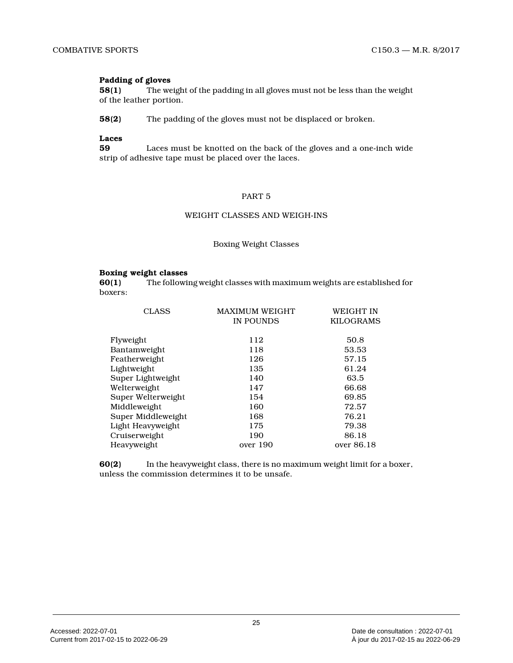#### **Padding of gloves**

**58(1)** The weight of the padding in all gloves must not be less than the weight of the leather portion.

**58(2)** The padding of the gloves must not be displaced or broken.

#### **Laces**

**59** Laces must be knotted on the back of the gloves and a one-inch wide strip of adhesive tape must be placed over the laces.

#### PART 5

#### WEIGHT CLASSES AND WEIGH-INS

#### Boxing Weight Classes

# **Boxing weight classes**<br>**60(1)** The following

**60(1)** The following weight classes with maximum weights are established for boxers:

| <b>CLASS</b>       | <b>MAXIMUM WEIGHT</b><br>IN POUNDS | <b>WEIGHT IN</b><br><b>KILOGRAMS</b> |
|--------------------|------------------------------------|--------------------------------------|
| Flyweight          | 112                                | 50.8                                 |
| Bantamweight       | 118                                | 53.53                                |
| Featherweight      | 126                                | 57.15                                |
| Lightweight        | 135                                | 61.24                                |
| Super Lightweight  | 140                                | 63.5                                 |
| Welterweight       | 147                                | 66.68                                |
| Super Welterweight | 154                                | 69.85                                |
| Middleweight       | 160                                | 72.57                                |
| Super Middleweight | 168                                | 76.21                                |
| Light Heavyweight  | 175                                | 79.38                                |
| Cruiserweight      | 190                                | 86.18                                |
| Heavyweight        | over 190                           | over 86.18                           |

**60(2)** In the heavyweight class, there is no maximum weight limit for a boxer, unless the commission determines it to be unsafe.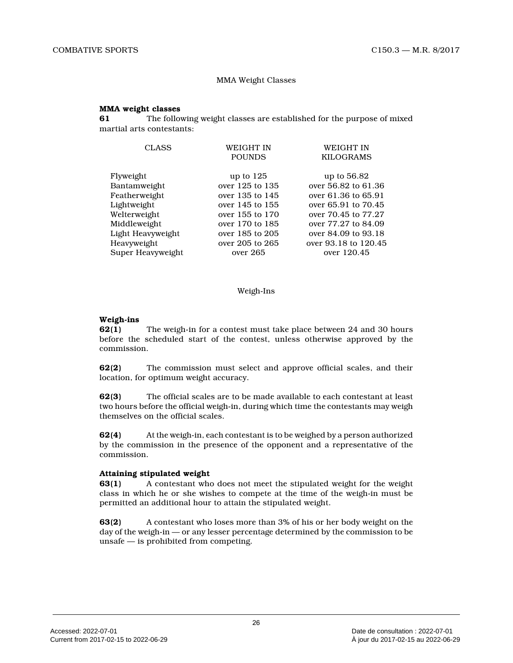#### MMA Weight Classes

#### **MMA weight classes**

**61** The following weight classes are established for the purpose of mixed martial arts contestants:

| <b>CLASS</b>      | WEIGHT IN       | <b>WEIGHT IN</b>     |
|-------------------|-----------------|----------------------|
|                   | <b>POUNDS</b>   | <b>KILOGRAMS</b>     |
|                   |                 |                      |
| Flyweight         | up to $125$     | up to 56.82          |
| Bantamweight      | over 125 to 135 | over 56.82 to 61.36  |
| Featherweight     | over 135 to 145 | over 61.36 to 65.91  |
| Lightweight       | over 145 to 155 | over 65.91 to 70.45  |
| Welterweight      | over 155 to 170 | over 70.45 to 77.27  |
| Middleweight      | over 170 to 185 | over 77.27 to 84.09  |
| Light Heavyweight | over 185 to 205 | over 84.09 to 93.18  |
| Heavyweight       | over 205 to 265 | over 93.18 to 120.45 |
| Super Heavyweight | over 265        | over 120.45          |
|                   |                 |                      |

#### Weigh-Ins

#### **Weigh-ins**

**62(1)** The weigh-in for a contest must take place between 24 and 30 hours before the scheduled start of the contest, unless otherwise approved by the commission.

**62(2)** The commission must select and approve official scales, and their location, for optimum weight accuracy.

**62(3)** The official scales are to be made available to each contestant at least two hours before the official weigh-in, during which time the contestants may weigh themselves on the official scales.

**62(4)** At the weigh-in, each contestant is to be weighed by a person authorized by the commission in the presence of the opponent and a representative of the commission.

#### **Attaining stipulated weight**

**63(1)** A contestant who does not meet the stipulated weight for the weight class in which he or she wishes to compete at the time of the weigh-in must be permitted an additional hour to attain the stipulated weight.

**63(2)** A contestant who loses more than 3% of his or her body weight on the day of the weigh-in — or any lesser percentage determined by the commission to be unsafe — is prohibited from competing.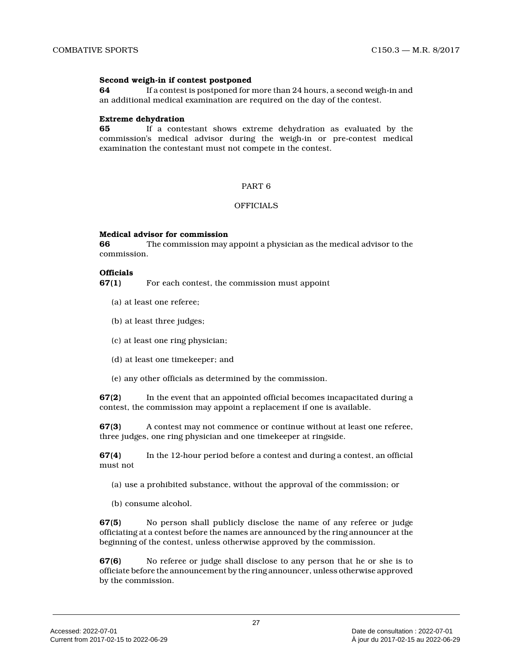#### **Second weigh-in if contest postponed**

**64** If a contest is postponed for more than 24 hours, a second weigh-in and an additional medical examination are required on the day of the contest.

#### **Extreme dehydration**

**65** If a contestant shows extreme dehydration as evaluated by the commission's medical advisor during the weigh-in or pre-contest medical examination the contestant must not compete in the contest.

#### PART 6

#### OFFICIALS

#### **Medical advisor for commission**

**66** The commission may appoint a physician as the medical advisor to the commission.

#### **Officials**

**67(1)** For each contest, the commission must appoint

- (a) at least one referee;
- (b) at least three judges;
- (c) at least one ring physician;
- (d) at least one timekeeper; and
- (e) any other officials as determined by the commission.

**67(2)** In the event that an appointed official becomes incapacitated during a contest, the commission may appoint a replacement if one is available.

**67(3)** A contest may not commence or continue without at least one referee, three judges, one ring physician and one timekeeper at ringside.

**67(4)** In the 12-hour period before a contest and during a contest, an official must not

- (a) use a prohibited substance, without the approval of the commission; or
- (b) consume alcohol.

**67(5)** No person shall publicly disclose the name of any referee or judge officiating at a contest before the names are announced by the ring announcer at the beginning of the contest, unless otherwise approved by the commission.

**67(6)** No referee or judge shall disclose to any person that he or she is to officiate before the announcement by the ring announcer, unless otherwise approved by the commission.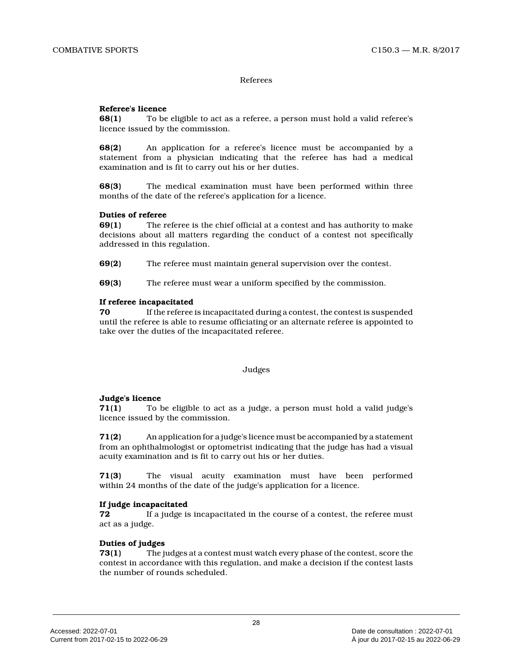#### Referees

#### **Referee's licence**

**68(1)** To be eligible to act as a referee, a person must hold a valid referee's licence issued by the commission.

**68(2)** An application for a referee's licence must be accompanied by a statement from a physician indicating that the referee has had a medical examination and is fit to carry out his or her duties.

**68(3)** The medical examination must have been performed within three months of the date of the referee's application for a licence.

#### **Duties of referee**

**69(1)** The referee is the chief official at a contest and has authority to make decisions about all matters regarding the conduct of a contest not specifically addressed in this regulation.

**69(2)** The referee must maintain general supervision over the contest.

**69(3)** The referee must wear a uniform specified by the commission.

#### **If referee incapacitated**

**70** If the referee is incapacitated during a contest, the contest is suspended until the referee is able to resume officiating or an alternate referee is appointed to take over the duties of the incapacitated referee.

#### Judges

#### **Judge's licence**

**71(1)** To be eligible to act as a judge, a person must hold a valid judge's licence issued by the commission.

**71(2)** An application for a judge's licence must be accompanied by a statement from an ophthalmologist or optometrist indicating that the judge has had a visual acuity examination and is fit to carry out his or her duties.

**71(3)** The visual acuity examination must have been performed within 24 months of the date of the judge's application for a licence.

#### **If judge incapacitated**

**72** If a judge is incapacitated in the course of a contest, the referee must act as a judge.

#### **Duties of judges**

**73(1)** The judges at a contest must watch every phase of the contest, score the contest in accordance with this regulation, and make a decision if the contest lasts the number of rounds scheduled.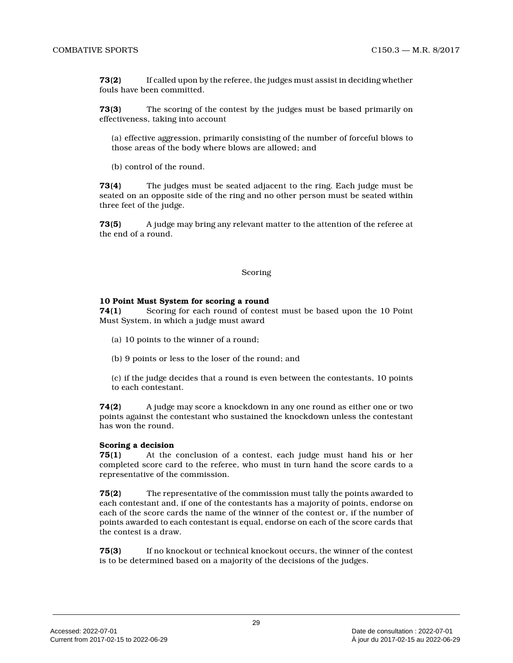**73(2)** If called upon by the referee, the judges must assist in deciding whether fouls have been committed.

**73(3)** The scoring of the contest by the judges must be based primarily on effectiveness, taking into account

(a) effective aggression, primarily consisting of the number of forceful blows to those areas of the body where blows are allowed; an d

(b) control of the round.

**73(4)** The judges must be seated adjacent to the ring. Each judge must be seated on an opposite side of the ring and no other person must be seated within three feet of the judge.

**73(5)** A judge may bring any relevant matter to the attention of the referee at the end of a round.

#### Scoring

#### **10 Point Must System for scoring a round**

**74(1)** Scoring for each round of contest must be based upon the 10 Point Must System, in which a judge must award

- (a) 10 points to the winner of a round;
- (b) 9 points or less to the loser of the round; and

(c) if the judge decides that a round is even between the contestants, 10 points to each contestant.

**74(2)** A judge may score a knockdown in any one round as either one or two points against the contestant who sustained the knockdown unless the contestant has won the round.

#### **Scoring a decision**

**75(1)** At the conclusion of a contest, each judge must hand his or her completed score card to the referee, who must in turn hand the score cards to a representative of the commission.

**75(2)** The representative of the commission must tally the points awarded to each contestant and, if one of the contestants has a majority of points, endorse on each of the score cards the name of the winner of the contest or, if the number of points awarded to each contestant is equal, endorse on each of the score cards that the contest is a draw.

**75(3)** If no knockout or technical knockout occurs, the winner of the contest is to be determined based on a majority of the decisions of the judges.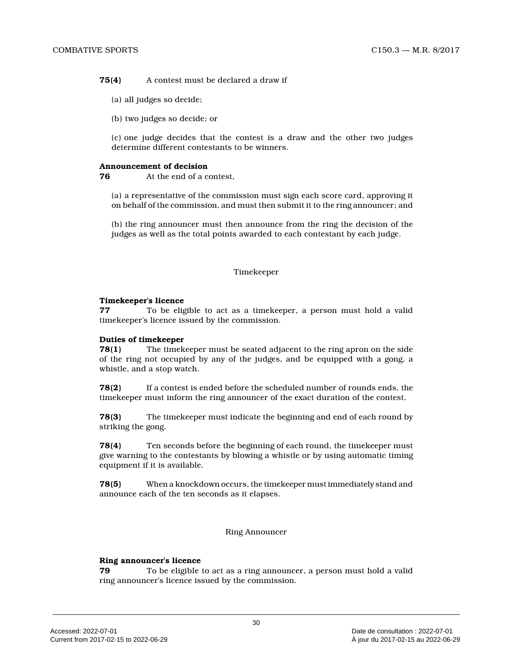**75(4)** A contest must be declared a draw if

- (a) all judges so decide;
- (b) two judges so decide; or

(c) one judge decides that the contest is a draw and the other two judges determine different contestants to be winners.

#### **Announcement of decision**

**76** At the end of a contest,

(a) a representative of the commission must sign each score card, approving it on behalf of the commission, and must then submit it to the ring announcer; and

(b) the ring announcer must then announce from the ring the decision of the judges as well as the total points awarded to each contestant by each judge.

#### Timekeeper

#### **Timekeeper's licence**

**77** To be eligible to act as a timekeeper, a person must hold a valid timekeeper's licence issued by the commission.

#### **Duties of timekeeper**

**78(1)** The timekeeper must be seated adjacent to the ring apron on the side of the ring not occupied by any of the judges, and be equipped with a gong, a whistle, and a stop watch.

**78(2)** If a contest is ended before the scheduled number of rounds ends, the timekeeper must inform the ring announcer of the exact duration of the contest.

**78(3)** The timekeeper must indicate the beginning and end of each round by striking the gong.

**78(4)** Ten seconds before the beginning of each round, the time keeper must give warning to the contestants by blowing a whistle or by using automatic timing equipment if it is available.

**78(5)** When a knockdown occurs, the timekeeper must immediately stand and announce each of the ten seconds as it elapses.

#### Ring Announcer

#### **Ring announcer's licence**

**79** To be eligible to act as a ring announcer, a person must hold a valid ring announcer's licence issued by the commission.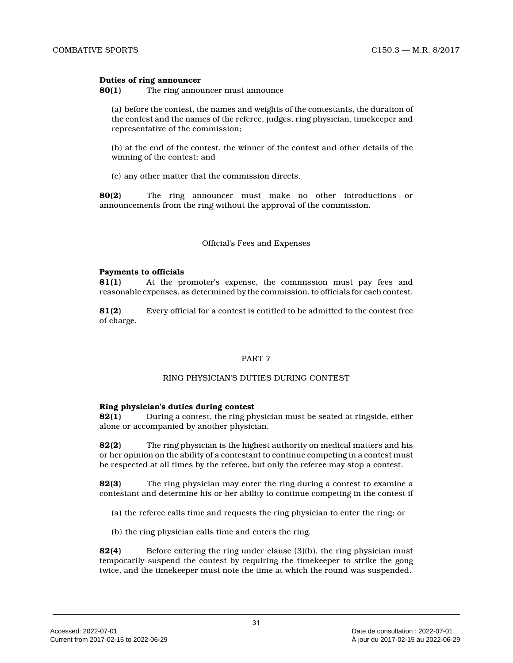#### **Duties of ring announcer**

**80(1)** The ring announcer must announce

(a) before the contest, the names and weights of the contestants, the duration of the contest and the names of the referee, judges, ring physician, timekeeper and representative of the commission;

(b) at the end of the contest, the winner of the contest and other details of the winning of the contest; and

(c) any other matter that the commission directs.

**80(2)** The ring announcer must make no other introductions or announcements from the ring without the approval of the commission.

#### Official's Fees and Expenses

#### **Payments to officials**

**81(1)** At the promoter's expense, the commission must pay fees and reasonable expenses, as determined by the commission, to officials for each contest.

**81(2)** Every official for a contest is entitled to be admitted to the contest free of charge.

#### PART 7

#### RING PHYSICIAN'S DUTIES DURING CONTEST

#### **Ring physician's duties during contest**

**82(1)** During a contest, the ring physician must be seated at ringside, either alone or accompanied by another physician.

**82(2)** The ring physician is the highest authority on medical matters and his or her opinion on the ability of a contestant to continue competing in a contest must be respected at all times by the referee, but only the referee may stop a contest.

**82(3)** The ring physician may enter the ring during a contest to examine a contestant and determine his or her ability to continue competing in the contest if

(a) the referee calls time and requests the ring physician to enter the ring; or

(b) the ring physician calls time and enters the ring.

**82(4)** Before entering the ring under clause (3)(b), the ring physician must temporarily suspend the contest by requiring the timekeeper to strike the gong twice, and the timekeeper must note the time at which the round was suspended.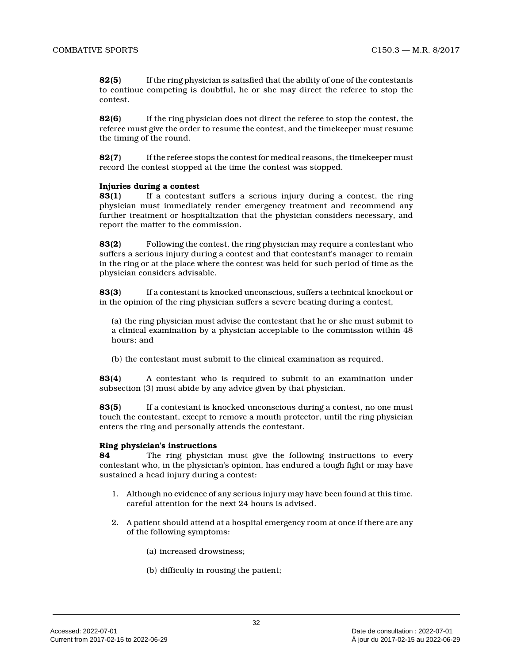**82(5)** If the ring physician is satisfied that the ability of one of the contestants to continue competing is doubtful, he or she may direct the referee to stop the contest.

**82(6)** If the ring physician does not direct the referee to stop the contest, the referee must give the order to resume the contest, and the timekeeper must resume the timing of the round.

**82(7)** If the referee stops the contest for medical reasons, the timekeeper must record the contest stopped at the time the contest was stopped.

#### **Injuries during a contest**

**83(1)** If a contestant suffers a serious injury during a contest, the ring physician must immediately render emergency treatment and recommend any further treatment or hospitalization that the physician considers necessary, and report the matter to the commission.

**83(2)** Following the contest, the ring physician may require a contestant who suffers a serious injury during a contest and that contestant's manager to remain in the ring or at the place where the contest was held for such period of time as the physician considers advisable.

**83(3)** If a contestant is knocked unconscious, suffers a technical knockout or in the opinion of the ring physician suffers a severe beating during a contest,

(a) the ring physician must advise the contestant that he or she must submit to a clinical examination by a physician acceptable to the commission within 48 hours; and

(b) the contestant must submit to the clinical examination as required.

**83(4)** A contestant who is required to submit to an examination under subsection (3) must abide by any advice given by that physician.

**83(5)** If a contestant is knocked unconscious during a contest, no one must touch the contestant, except to remove a mouth protector, until the ring physician enters the ring and personally attends the contestant.

#### **Ring physician's instructions**

**84** The ring physician must give the following instructions to every contestant who, in the physician's opinion, has endured a tough fight or may have sustained a head injury during a contest:

- 1. Although no evidence of any serious injury may have been found at this time, careful attention for the next 24 hours is advised.
- 2. A patient should attend at a hospital emergency room at once if there are any of the following symptoms:
	- (a) increased drowsiness;
	- (b) difficulty in rousing the patient;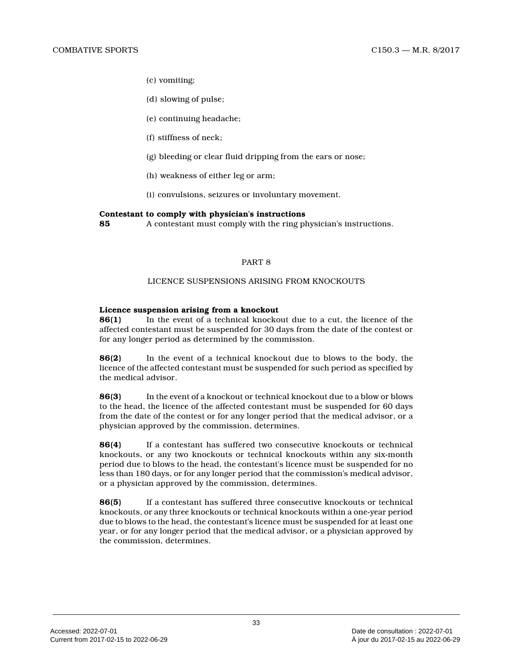- (c) vomiting;
- (d) slowing of pulse;
- (e) continuing headache;
- (f) stiffness of neck;
- (g) bleeding or clear fluid dripping from the ears or nose;
- (h) weakness of either leg or arm;
- (i) convulsions, seizures or involuntary movement.

#### **Contestant to comply with physician's instructions**

**85** A contestant must comply with the ring physician's instructions.

#### PART 8

#### LICENCE SUSPENSIONS ARISING FROM KNOCKOUTS

#### **Licence suspension arising from a knockout**

**86(1)** In the event of a technical knockout due to a cut, the licence of the affected contestant must be suspended for 30 days from the date of the contest or for any longer period as determined by the commission.

**86(2)** In the event of a technical knockout due to blows to the body, the licence of the affected contestant must be suspended for such period as specified by the medical advisor.

**86(3)** In the event of a knockout or technical knockout due to a blow or blows to the head, the licence of the affected contestant must be suspended for 60 days from the date of the contest or for any longer period that the medical advisor, or a physician approved by the commission, determines.

**86(4)** If a contestant has suffered two consecutive knockouts or technical knockouts, or any two knockouts or technical knockouts within any six-month period due to blows to the head, the contestant's licence must be suspended for no less than 180 days, or for any longer period that the commission's medical advisor, or a physician approved by the commission, determines.

**86(5)** If a contestant has suffered three consecutive knockouts or technical knockouts, or any three knockouts or technical knockouts within a one-year period due to blows to the head, the contestant's licence must be suspended for at least one year, or for any longer period that the medical advisor, or a physician approved by the commission, determines.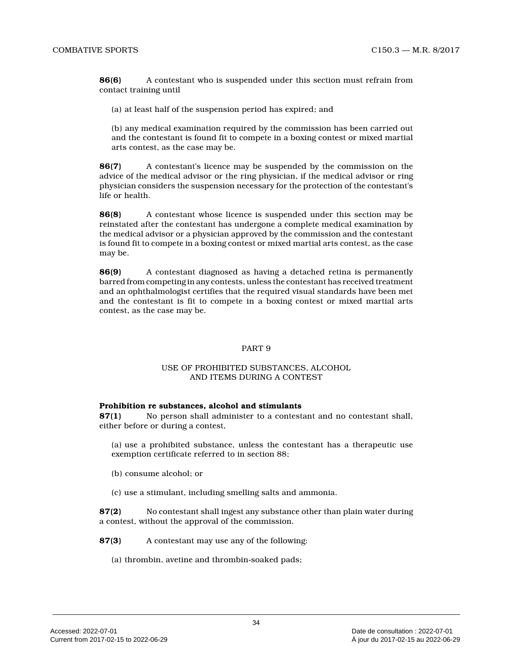**86(6)** A contestant who is suspended under this section must refrain from contact training until

(a) at least half of the suspension period has expired; and

(b) any medical examination required by the commission has been carried out and the contestant is found fit to compete in a boxing contest or mixed martial arts contest, as the case may be.

**86(7)** A contestant's licence may be suspended by the commission on the advice of the medical advisor or the ring physician, if the medical advisor or ring physician considers the suspension necessary for the protection of the contestant's life or health.

**86(8)** A contestant whose licence is suspended under this section may be reinstated after the contestant has undergone a complete medical examination by the medical advisor or a physician approved by the commission and the contestant is found fit to compete in a boxing contest or mixed martial arts contest, as the case may be.

**86(9)** A contestant diagnosed as having a detached retina is permanently barred from competing in any contests, unless the contestant has received treatment and an ophthalmologist certifies that the required visual standards have been met and the contestant is fit to compete in a boxing contest or mixed martial arts contest, as the case may be.

#### PART 9

#### USE OF PROHIBITED SUBSTANCES, ALCOHOL AND ITEMS DURING A CONTEST

#### **Prohibition re substances, alcohol and stimulants**

**87(1)** No person shall administer to a contestant and no contestant shall, either before or during a contest,

(a) use a prohibited substance, unless the contestant has a therapeutic use exemption certificate referred to in section 88;

- (b) consume alcohol; or
- (c) use a stimulant, including smelling salts and ammonia.

**87(2)** No contestant shall ingest any substance other than plain water during a contest, without the approval of the commission.

**87(3)** A contestant may use any of the following:

(a) thrombin, avetine and thrombin-soaked pads;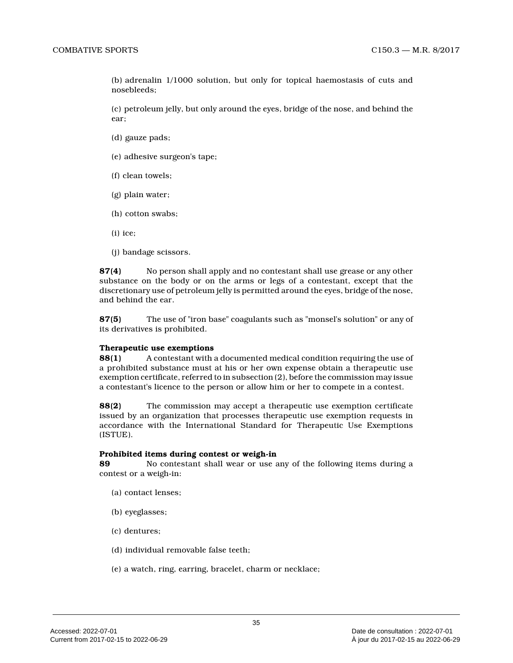(b) adrenalin 1/1000 solution, but only for topical haemostasis of cuts and nosebleeds;

(c) petroleum jelly, but only around the eyes, bridge of the nose, and behind the ear;

- (d) gauze pads;
- (e) adhesive surgeon's tape;
- (f) clean towels;
- (g) plain water;
- (h) cotton swabs;
- (i) ice;
- (j) bandage scissors.

**87(4)** No person shall apply and no contestant shall use grease or any other substance on the body or on the arms or legs of a contestant, except that the discretionary use of petroleum jelly is permitted around the eyes, bridge of the nose, and behind the ear.

**87(5)** The use of "iron base" coagulants such as "monsel's solution" or any of its derivatives is prohibited.

#### **Therapeutic use exemptions**

**88(1)** A contestant with a documented medical condition requiring the use of a prohibited substance must at his or her own expense obtain a therapeutic use exemption certificate, referred to in subsection (2), before the commission may issue a contestant's licence to the person or allow him or her to compete in a contest.

**88(2)** The commission may accept a therapeutic use exemption certificate issued by an organization that processes therapeutic use exemption requests in accordance with the International Standard for Therapeutic Use Exemptions (ISTUE).

#### **Prohibited items during contest or weigh-in**

**89** No contestant shall wear or use any of the following items during a contest or a weigh-in:

- (a) contact lenses;
- (b) eyeglasses;
- (c) dentures;
- (d) individual removable false teeth;
- (e) a watch, ring, earring, bracelet, charm or necklace;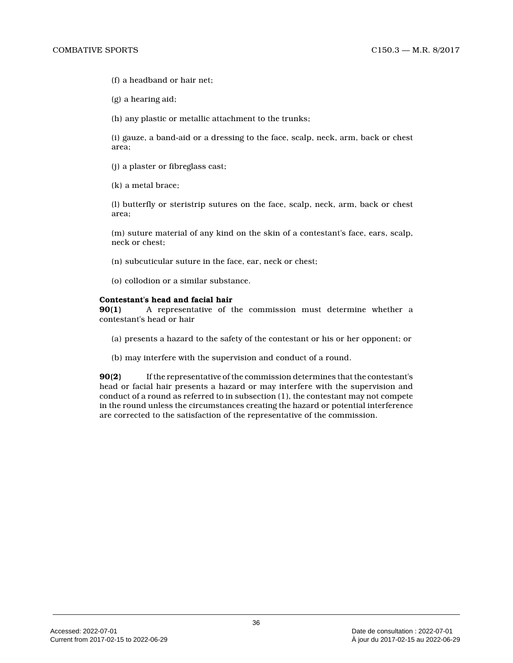(f) a headband or hair net;

(g) a hearing aid;

(h) any plastic or metallic attachment to the trunks ;

(i) gauze, a band-aid or a dressing to the face, scalp, neck, arm, back or chest area;

(j) a plaster or fibreglass cast;

(k) a metal brace;

(l) butterfly or steristrip sutures on the face, scalp, neck, arm, back or chest area;

(m) suture material of any kind on the skin of a contestant's face, ears, scalp, neck or chest;

(n) subcuticular suture in the face, ear, neck or chest;

(o) collodion or a similar substance.

#### **Contestant's head and facial hair**

**90(1)** A representative of the commission must determine whether a contestant's head or hair

(a) presents a hazard to the safety of the contestant or his or her opponent; or

(b) may interfere with the supervision and conduct of a round.

**90(2)** If the representative of the commission determines that the contestant's head or facial hair presents a hazard or may interfere with the supervision and conduct of a round as referred to in subsection (1), the contestant may not compete in the round unless the circumstances creating the hazard or potential interference are corrected to the satisfaction of the representative of the commission.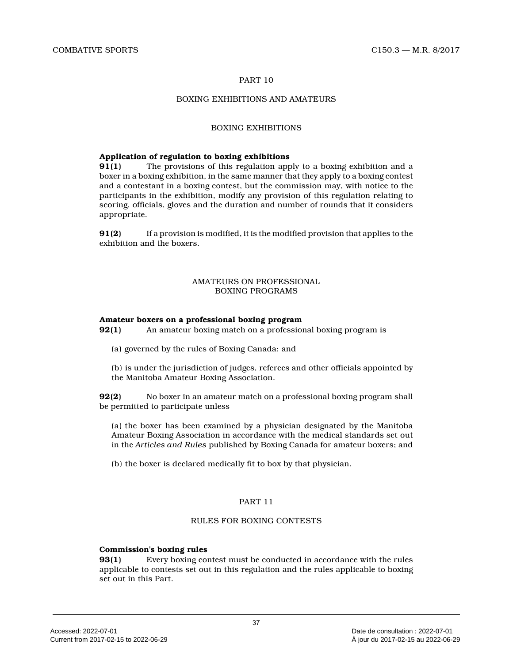#### PART 10

#### BOXING EXHIBITIONS AND AMATEURS

#### BOXING EXHIBITIONS

# **Application of regulation to boxing exhibitions**

The provisions of this regulation apply to a boxing exhibition and a boxer in a boxing exhibition, in the same manner that they apply to a boxing contest and a contestant in a boxing contest, but the commission may, with notice to the participants in the exhibition, modify any provision of this regulation relating to scoring, officials, gloves and the duration and number of rounds that it considers appropriate.

**91(2)** If a provision is modified, it is the modified provision that applies to the exhibition and the boxers.

#### AMATEURS ON PROFESSIONAL BOXING PROGRAMS

#### **Amateur boxers on a professional boxing program**

**92(1)** An amateur boxing match on a professional boxing program is

(a) governed by the rules of Boxing Canada; and

(b) is under the jurisdiction of judges, referees and other officials appointed by the Manitoba Amateur Boxing Association.

**92(2)** No boxer in an amateur match on a professional boxing program shall be permitted to participate unless

(a) the boxer has been examined by a physician designated by the Manitoba Amateur Boxing Association in accordance with the medical standards set out in the *Articles and Rules* published by Boxing Canada for amateur boxers; and

(b) the boxer is declared medically fit to box by that physician.

#### PART 11

#### RULES FOR BOXING CONTESTS

#### **Commission's boxing rules**

**93(1)** Every boxing contest must be conducted in accordance with the rules applicable to contests set out in this regulation and the rules applicable to boxing set out in this Part.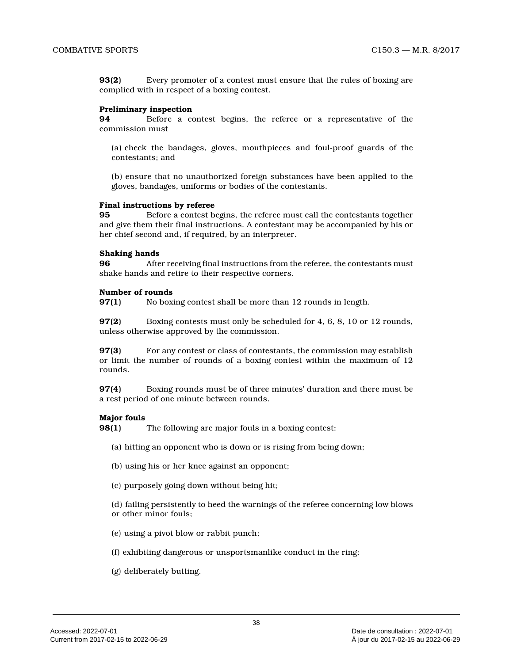**93(2)** Every promoter of a contest must ensure that the rules of boxing are complied with in respect of a boxing contest.

#### **Preliminary inspection**

**94** Before a contest begins, the referee or a representative of the commission must

(a) check the bandages, gloves, mouthpieces and foul-proof guards of the contestants; and

(b) ensure that no unauthorized foreign substances have been applied to the gloves, bandages, uniforms or bodies of the contestants.

#### **Final instructions by referee**

**95** Before a contest begins, the referee must call the contestants together and give them their final instructions. A contestant may be accompanied by his or her chief second and, if required, by an interpreter.

#### **Shaking hands**

**96** After receiving final instructions from the referee, the contestants must shake hands and retire to their respective corners.

#### **Number of rounds**

**97(1)** No boxing contest shall be more than 12 rounds in length.

**97(2)** Boxing contests must only be scheduled for 4, 6, 8, 10 or 12 rounds, unless otherwise approved by the commission.

**97(3)** For any contest or class of contestants, the commission may establish or limit the number of rounds of a boxing contest within the maximum of 12 rounds.

**97(4)** Boxing rounds must be of three minutes' duration and there must be a rest period of one minute between rounds.

#### **Major fouls**

**98(1)** The following are major fouls in a boxing contest:

(a) hitting an opponent who is down or is rising from being down;

- (b) using his or her knee against an opponent;
- (c) purposely going down without being hit;

(d) failing persistently to heed the warnings of the referee concerning low blows or other minor fouls;

- (e) using a pivot blow or rabbit punch;
- (f) exhibiting dangerous or unsportsmanlike conduct in the ring;
- (g) deliberately butting.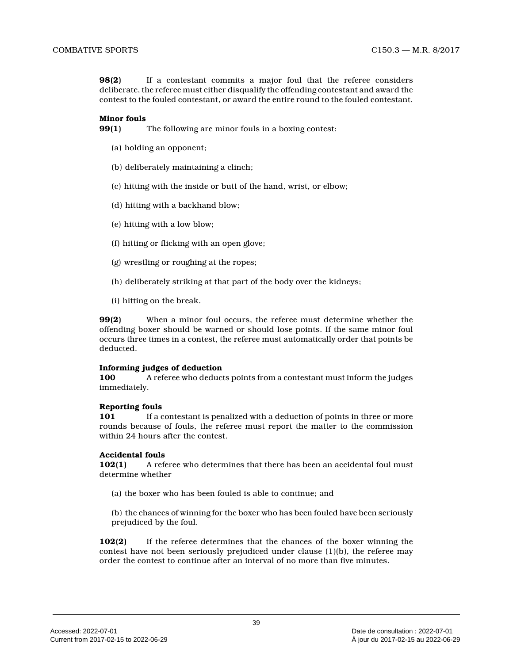**98(2)** If a contestant commits a major foul that the referee considers deliberate, the referee must either disqualify the offending contestant and award the contest to the fouled contestant, or award the entire round to the fouled contestant.

#### **Minor fouls**

**99(1)** The following are minor fouls in a boxing contest:

- (a) holding an opponent;
- (b) deliberately maintaining a clinch;
- (c) hitting with the inside or butt of the hand, wrist, or elbow;
- (d) hitting with a backhand blow;
- (e) hitting with a low blow;
- (f) hitting or flicking with an open glove;
- (g) wrestling or roughing at the ropes;
- (h) deliberately striking at that part of the body over the kidneys;
- (i) hitting on the break.

**99(2)** When a minor foul occurs, the referee must determine whether the offending boxer should be warned or should lose points. If the same minor foul occurs three times in a contest, the referee must automatically order that points be deducted.

#### **Informing judges of deduction**

**100** A referee who deducts points from a contestant must inform the judges immediately.

#### **Reporting fouls**

**101** If a contestant is penalized with a deduction of points in three or more rounds because of fouls, the referee must report the matter to the commission within 24 hours after the contest.

#### **Accidental fouls**

**102(1)** A referee who determines that there has been an accidental foul must determine whether

(a) the boxer who has been fouled is able to continue; and

(b) the chances of winning for the boxer who has been fouled have been seriously prejudiced by the foul.

**102(2)** If the referee determines that the chances of the boxer winning the contest have not been seriously prejudiced under clause (1)(b), the referee may order the contest to continue after an interval of no more than five minutes.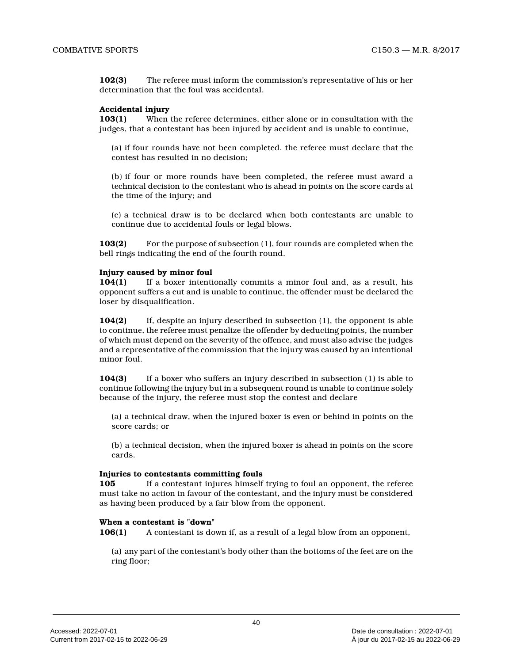**102(3)** The referee must inform the commission's representative of his or her determination that the foul was accidental.

#### **Accidental injury**

**103(1)** When the referee determines, either alone or in consultation with the judges, that a contestant has been injured by accident and is unable to continue,

(a) if four rounds have not been completed, the referee must declare that the contest has resulted in no decision;

(b) if four or more rounds have been completed, the referee must award a technical decision to the contestant who is ahead in points on the score cards at the time of the injury; and

(c) a technical draw is to be declared when both contestants are unable to continue due to accidental fouls or legal blows.

**103(2)** For the purpose of subsection (1), four rounds are completed when the bell rings indicating the end of the fourth round.

#### **Injury caused by minor foul**

**104(1)** If a boxer intentionally commits a minor foul and, as a result, his opponent suffers a cut and is unable to continue, the offender must be declared the loser by disqualification.

**104(2)** If, despite an injury described in subsection (1), the opponent is able to continue, the referee must penalize the offender by deducting points, the number of which must depend on the severity of the offence, and must also advise the judges and a representative of the commission that the injury was caused by an intentional minor foul.

**104(3)** If a boxer who suffers an injury described in subsection (1) is able to continue following the injury but in a subsequent round is unable to continue solely because of the injury, the referee must stop the contest and declare

(a) a technical draw, when the injured boxer is even or behind in points on the score cards; or

(b) a technical decision, when the injured boxer is ahead in points on the score cards.

#### **Injuries to contestants committing fouls**

**105** If a contestant injures himself trying to foul an opponent, the referee must take no action in favour of the contestant, and the injury must be considered as having been produced by a fair blow from the opponent.

#### **When a contestant is "down"**

**106(1)** A contestant is down if, as a result of a legal blow from an opponent,

(a) any part of the contestant's body other than the bottoms of the feet are on the ring floor;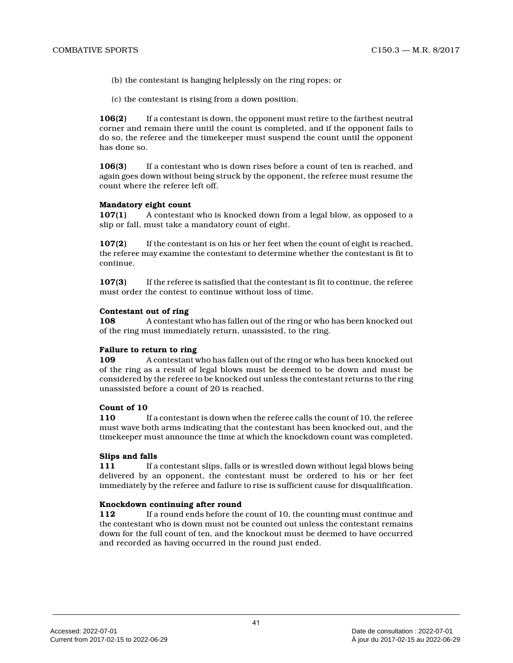- (b) the contestant is hanging helplessly on the ring ropes; or
- (c) the contestant is rising from a down position.

**106(2)** If a contestant is down, the opponent must retire to the farthest neutral corner and remain there until the count is completed, and if the opponent fails to do so, the referee and the timekeeper must suspend the count until the opponent has done so.

**106(3)** If a contestant who is down rises before a count of ten is reached, and again goes down without being struck by the opponent, the referee must resume the count where the referee left off.

#### **Mandatory eight count**

**107(1)** A contestant who is knocked down from a legal blow, as opposed to a slip or fall, must take a mandatory count of eight.

**107(2)** If the contestant is on his or her feet when the count of eight is reached, the referee may examine the contestant to determine whether the contestant is fit to continue.

**107(3)** If the referee is satisfied that the contestant is fit to continue, the referee must order the contest to continue without loss of time.

#### **Contestant out of ring**

**108** A contestant who has fallen out of the ring or who has been knocked out of the ring must immediately return, unassisted, to the ring.

#### **Failure to return to ring**

**109** A contestant who has fallen out of the ring or who has been knocked out of the ring as a result of legal blows must be deemed to be down and must be considered by the referee to be knocked out unless the contestant returns to the ring unassisted before a count of 20 is reached.

#### **Count of 10**

**110** If a contestant is down when the referee calls the count of 10, the referee must wave both arms indicating that the contestant has been knocked out, and the timekeeper must announce the time at which the knockdown count was completed.

#### **Slips and falls**

**111** If a contestant slips, falls or is wrestled down without legal blows being delivered by an opponent, the contestant must be ordered to his or her feet immediately by the referee and failure to rise is sufficient cause for disqualification.

#### **Knockdown continuing after round**

**112** If a round ends before the count of 10, the counting must continue and the contestant who is down must not be counted out unless the contestant remains down for the full count of ten, and the knockout must be deemed to have occurred and recorded as having occurred in the round just ended.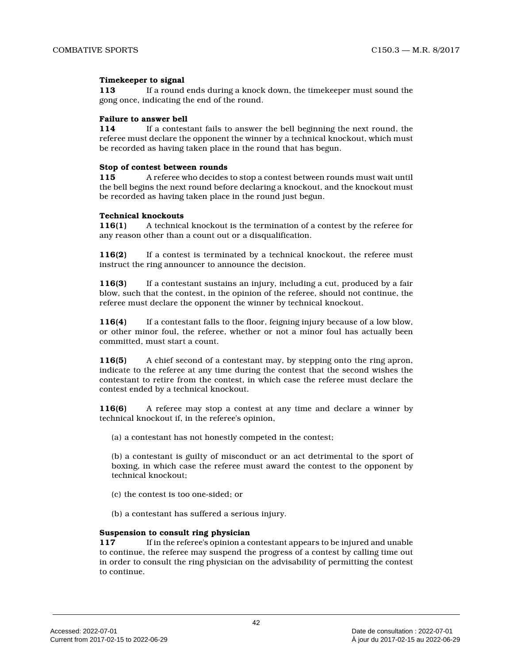#### **Timekeeper to signal**

**113** If a round ends during a knock down, the timekeeper must sound the gong once, indicating the end of the round.

#### **Failure to answer bell**

**114** If a contestant fails to answer the bell beginning the next round, the referee must declare the opponent the winner by a technical knockout, which must be recorded as having taken place in the round that has begun.

#### **Stop of contest between rounds**

**115** A referee who decides to stop a contest between rounds must wait until the bell begins the next round before declaring a knockout, and the knockout must be recorded as having taken place in the round just begun.

#### **Technical knockouts**

**116(1)** A technical knockout is the termination of a contest by the referee for any reason other than a count out or a disqualification.

**116(2)** If a contest is terminated by a technical knockout, the referee must instruct the ring announcer to announce the decision.

**116(3)** If a contestant sustains an injury, including a cut, produced by a fair blow, such that the contest, in the opinion of the referee, should not continue, the referee must declare the opponent the winner by technical knockout.

**116(4)** If a contestant falls to the floor, feigning injury because of a low blow, or other minor foul, the referee, whether or not a minor foul has actually been committed, must start a count.

**116(5)** A chief second of a contestant may, by stepping onto the ring apron, indicate to the referee at any time during the contest that the second wishes the contestant to retire from the contest, in which case the referee must declare the contest ended by a technical knockout.

**116(6)** A referee may stop a contest at any time and declare a winner by technical knockout if, in the referee's opinion,

(a) a contestant has not honestly competed in the contest;

(b) a contestant is guilty of misconduct or an act detrimental to the sport of boxing, in which case the referee must award the contest to the opponent by technical knockout;

- (c) the contest is too one-sided; or
- (b) a contestant has suffered a serious injury.

#### **Suspension to consult ring physician**

**117** If in the referee's opinion a contestant appears to be injured and unable to continue, the referee may suspend the progress of a contest by calling time out in order to consult the ring physician on the advisability of permitting the contest to continue.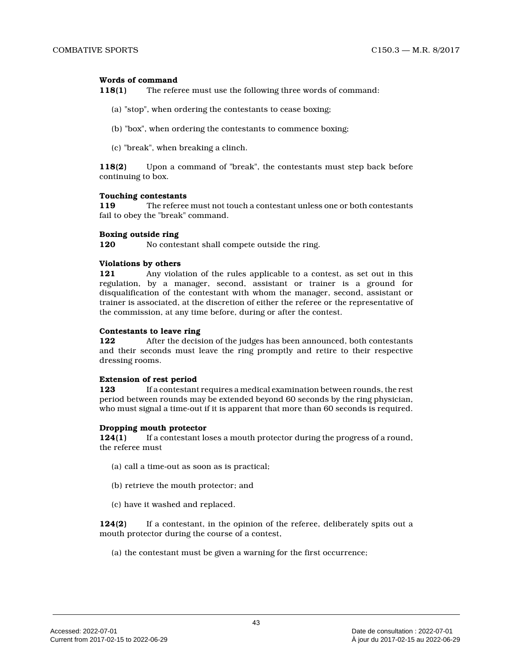#### **Words of command**

**118(1)** The referee must use the following three words of command:

- (a) "stop", when ordering the contestants to cease boxing;
- (b) "box", when ordering the contestants to commence boxing;
- (c) "break", when breaking a clinch.

**118(2)** Upon a command of "break", the contestants must step back before continuing to box.

#### **Touching contestants**

**119** The referee must not touch a contestant unless one or both contestants fail to obey the "break" command.

#### **Boxing outside ring**

**120** No contestant shall compete outside the ring.

#### **Violations by others**

**121** Any violation of the rules applicable to a contest, as set out in this regulation, by a manager, second, assistant or trainer is a ground for disqualification of the contestant with whom the manager, second, assistant or trainer is associated, at the discretion of either the referee or the representative of the commission, at any time before, during or after the contest.

#### **Contestants to leave ring**

**122** After the decision of the judges has been announced, both contestants and their seconds must leave the ring promptly and retire to their respective dressing rooms.

#### **Extension of rest period**

**123** If a contestant requires a medical examination between rounds, the rest period between rounds may be extended beyond 60 seconds by the ring physician, who must signal a time-out if it is apparent that more than 60 seconds is required.

#### **Dropping mouth protector**

**124(1)** If a contestant loses a mouth protector during the progress of a round, the referee must

- (a) call a time-out as soon as is practical;
- (b) retrieve the mouth protector; and
- (c) have it washed and replaced.

**124(2)** If a contestant, in the opinion of the referee, deliberately spits out a mouth protector during the course of a contest,

(a) the contestant must be given a warning for the first occurrence;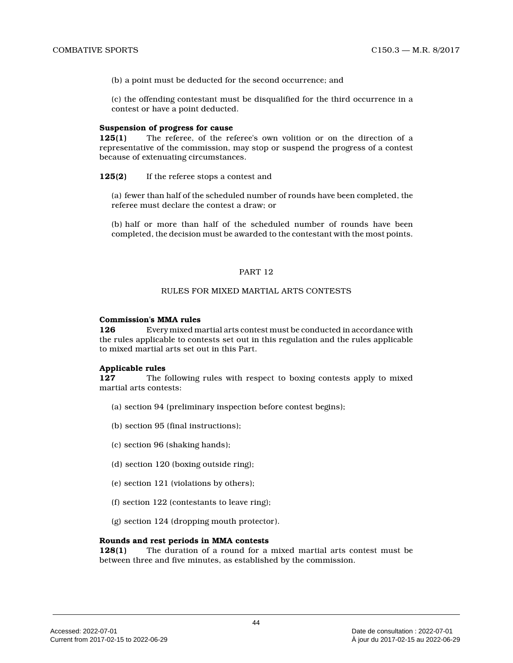(b) a point must be deducted for the second occurrence; and

(c) the offending contestant must be disqualified for the third occurrence in a contest or have a point deducted.

#### **Suspension of progress for cause**

**125(1)** The referee, of the referee's own volition or on the direction of a representative of the commission, may stop or suspend the progress of a contest because of extenuating circumstances.

#### **125(2)** If the referee stops a contest and

(a) fewer than half of the scheduled number of rounds have been completed, the referee must declare the contest a draw; or

(b) half or more than half of the scheduled number of rounds have been completed, the decision must be awarded to the contestant with the most points.

#### PART 12

#### RULES FOR MIXED MARTIAL ARTS CONTESTS

#### **Commission's MMA rules**

**126** Every mixed martial arts contest must be conducted in accordance with the rules applicable to contests set out in this regulation and the rules applicable to mixed martial arts set out in this Part.

#### **Applicable rules**

**127** The following rules with respect to boxing contests apply to mixed martial arts contests:

- (a) section 94 (preliminary inspection before contest begins);
- (b) section 95 (final instructions);
- (c) section 96 (shaking hands);
- (d) section 120 (boxing outside ring);
- (e) section 121 (violations by others);
- (f) section 122 (contestants to leave ring);
- (g) section 124 (dropping mouth protector).

#### **Rounds and rest periods in MMA contests**

**128(1)** The duration of a round for a mixed martial arts contest must be between three and five minutes, as established by the commission.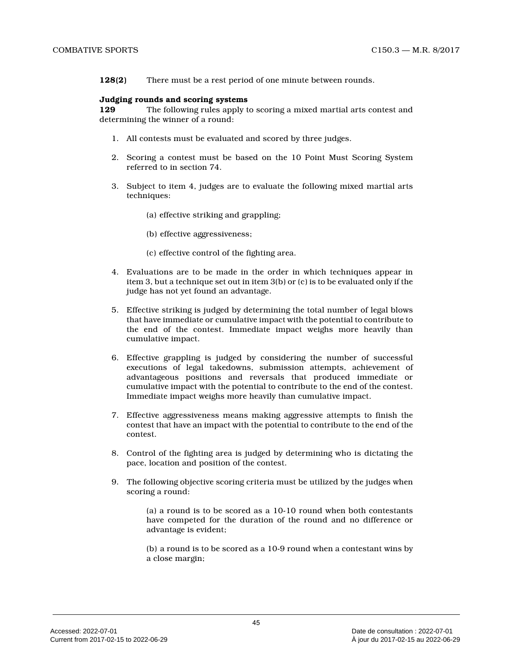**128(2)** There must be a rest period of one minute between rounds.

#### **Judging rounds and scoring systems**

**129** The following rules apply to scoring a mixed martial arts contest and determining the winner of a round:

- 1. All contests must be evaluated and scored by three judges.
- 2. Scoring a contest must be based on the 10 Point Must Scoring System referred to in section 74.
- 3. Subject to item 4, judges are to evaluate the following mixed martial arts techniques:
	- (a) effective striking and grappling;
	- (b) effective aggressiveness;
	- (c) effective control of the fighting area.
- 4. Evaluations are to be made in the order in which techniques appear in item 3, but a technique set out in item 3(b) or (c) is to be evaluated only if the judge has not yet found an advantage.
- 5. Effective striking is judged by determining the total number of legal blows that have immediate or cumulative impact with the potential to contribute to the end of the contest. Immediate impact weighs more heavily than cumulative impact.
- 6. Effective grappling is judged by considering the number of successful executions of legal takedowns, submission attempts, achievement of advantageous positions and reversals that produced immediate or cumulative impact with the potential to contribute to the end of the contest. Immediate impact weighs more heavily than cumulative impact.
- 7. Effective aggressiveness means making aggressive attempts to finish the contest that have an impact with the potential to contribute to the end of the contest.
- 8. Control of the fighting area is judged by determining who is dictating the pace, location and position of the contest.
- 9. The following objective scoring criteria must be utilized by the judges when scoring a round:

(a) a round is to be scored as a 10-10 round when both contestants have competed for the duration of the round and no difference or advantage is evident;

(b) a round is to be scored as a 10-9 round when a contestant wins by a close margin;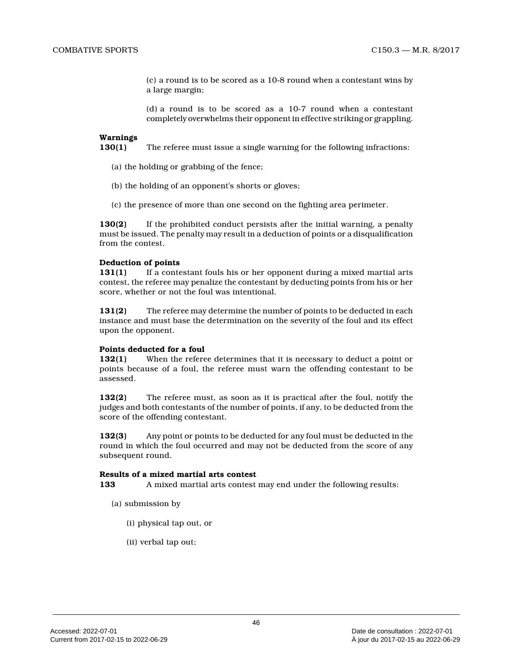(c) a round is to be scored as a 10-8 round when a contestant wins by a large margin;

(d) a round is to be scored as a 10-7 round when a contestant completely overwhelms their opponent in effective striking or grappling.

#### **Warnings**

**130(1)** The referee must issue a single warning for the following infractions:

- (a) the holding or grabbing of the fence;
- (b) the holding of an opponent's shorts or gloves;
- (c) the presence of more than one second on the fighting area perimeter.

**130(2)** If the prohibited conduct persists after the initial warning, a penalty must be issued. The penalty may result in a deduction of points or a disqualification from the contest.

#### **Deduction of points**

**131(1)** If a contestant fouls his or her opponent during a mixed martial arts contest, the referee may penalize the contestant by deducting points from his or her score, whether or not the foul was intentional.

**131(2)** The referee may determine the number of points to be deducted in each instance and must base the determination on the severity of the foul and its effect upon the opponent.

#### **Points deducted for a foul**

**132(1)** When the referee determines that it is necessary to deduct a point or points because of a foul, the referee must warn the offending contestant to be assessed.

**132(2)** The referee must, as soon as it is practical after the foul, notify the judges and both contestants of the number of points, if any, to be deducted from the score of the offending contestant.

**132(3)** Any point or points to be deducted for any foul must be deducted in the round in which the foul occurred and may not be deducted from the score of any subsequent round.

#### **Results of a mixed martial arts contest**

**133** A mixed martial arts contest may end under the following results:

- (a) submission by
	- (i) physical tap out, or
	- (ii) verbal tap out;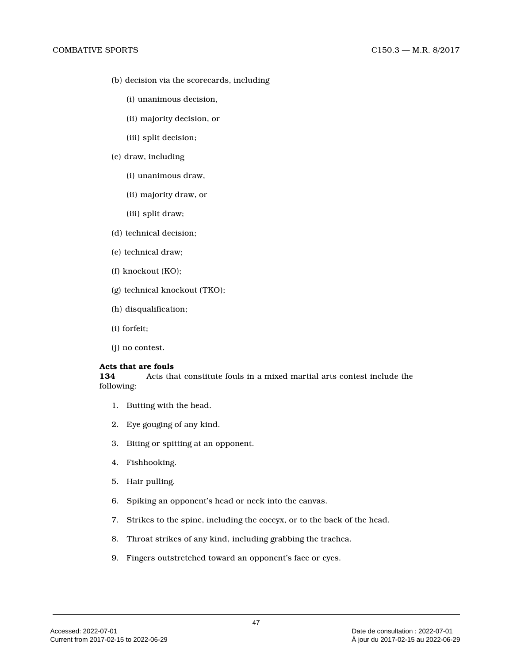- (b) decision via the scorecards, including
	- (i) unanimous decision,
	- (ii) majority decision, or
	- (iii) split decision;
- (c) draw, including
	- (i) unanimous draw,
	- (ii) majority draw, or
	- (iii) split draw;
- (d) technical decision;
- (e) technical draw;
- (f) knockout (KO);
- (g) technical knockout (TKO);
- (h) disqualification;
- (i) forfeit;
- (j) no contest.

#### **Acts that are fouls**

**134** Acts that constitute fouls in a mixed martial arts contest include the following:

- 1. Butting with the head.
- 2. Eye gouging of any kind.
- 3. Biting or spitting at an opponent.
- 4. Fishhooking.
- 5. Hair pulling.
- 6. Spiking an opponent's head or neck into the canvas.
- 7. Strikes to the spine, including the coccyx, or to the back of the head.
- 8. Throat strikes of any kind, including grabbing the trachea.
- 9. Fingers outstretched toward an opponent's face or eyes.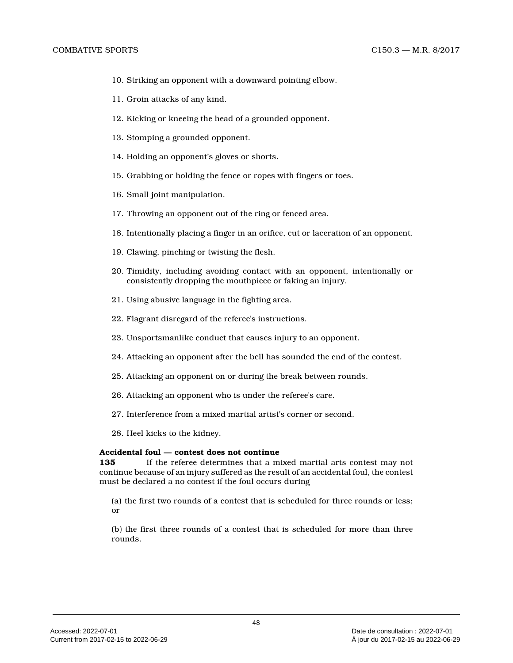- 10. Striking an opponent with a downward pointing elbow.
- 11. Groin attacks of any kind.
- 12. Kicking or kneeing the head of a grounded opponent.
- 13. Stomping a grounded opponent.
- 14. Holding an opponent's gloves or shorts.
- 15. Grabbing or holding the fence or ropes with fingers or toes.
- 16. Small joint manipulation.
- 17. Throwing an opponent out of the ring or fenced area.
- 18. Intentionally placing a finger in an orifice, cut or laceration of an opponent.
- 19. Clawing, pinching or twisting the flesh.
- 20. Timidity, including avoiding contact with an opponent, intentionally or consistently dropping the mouthpiece or faking an injury.
- 21. Using abusive language in the fighting area.
- 22. Flagrant disregard of the referee's instructions .
- 23. Unsportsmanlike conduct that causes injury to an opponent.
- 24. Attacking an opponent after the bell has sounded the end of the contest.
- 25. Attacking an opponent on or during the break between rounds.
- 26. Attacking an opponent who is under the referee's care.
- 27. Interference from a mixed martial artist's corner or second.
- 28. Heel kicks to the kidney.

#### **Accidental foul — contest does not continue**

**135** If the referee determines that a mixed martial arts contest may not continue because of an injury suffered as the result of an accidental foul, the contest must be declared a no contest if the foul occurs during

(a) the first two rounds of a contest that is scheduled for three rounds or less; or

(b) the first three rounds of a contest that is scheduled for more than three rounds.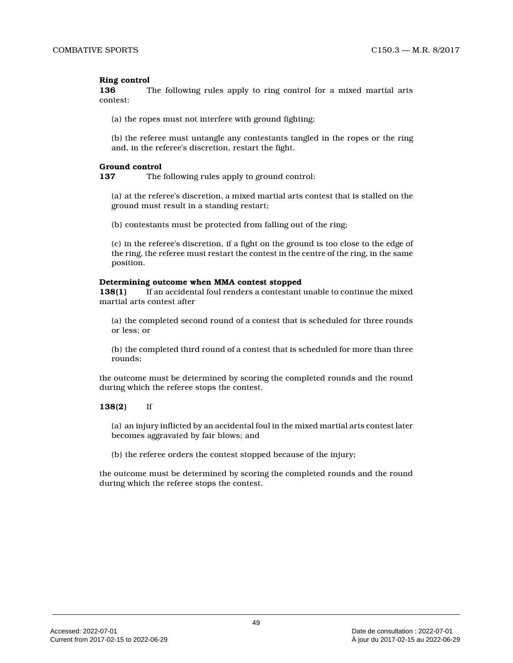#### **Ring control**

**136** The following rules apply to ring control for a mixed martial arts contest:

(a) the ropes must not interfere with ground fighting;

(b) the referee must untangle any contestants tangled in the ropes or the ring and, in the referee's discretion, restart the fight .

#### **Ground control**

**137** The following rules apply to ground control:

(a) at the referee's discretion, a mixed martial arts contest that is stalled on the ground must result in a standing restart;

(b) contestants must be protected from falling out of the ring;

(c) in the referee's discretion, if a fight on the ground is too close to the edge of the ring, the referee must restart the contest in the centre of the ring, in the same position.

#### **Determining outcome when MMA contest stopped**

**138(1)** If an accidental foul renders a contestant unable to continue the mixed martial arts contest after

(a) the completed second round of a contest that is scheduled for three rounds or less; or

(b) the completed third round of a contest that is scheduled for more than three rounds;

the outcome must be determined by scoring the completed rounds and the round during which the referee stops the contest.

**138(2)** If

(a) an injury inflicted by an accidental foul in the mixed martial arts contest later becomes aggravated by fair blows; and

(b) the referee orders the contest stopped because of the injury;

the outcome must be determined by scoring the completed rounds and the round during which the referee stops the contest.